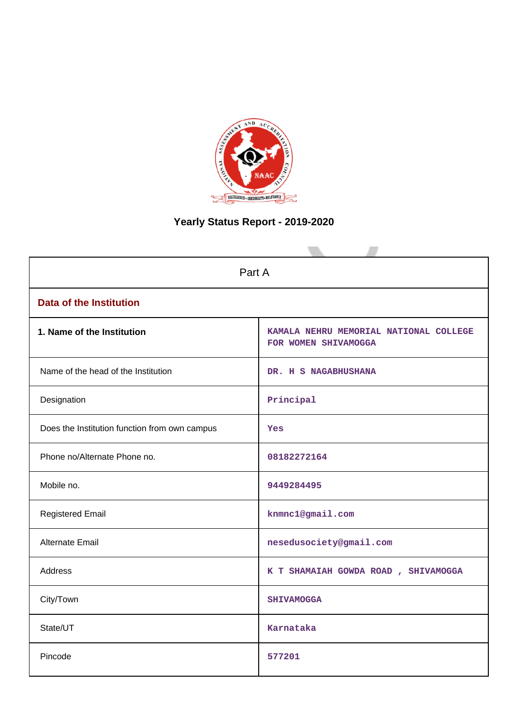

# **Yearly Status Report - 2019-2020**

| Part A                                        |                                                                |  |  |  |  |
|-----------------------------------------------|----------------------------------------------------------------|--|--|--|--|
| <b>Data of the Institution</b>                |                                                                |  |  |  |  |
| 1. Name of the Institution                    | KAMALA NEHRU MEMORIAL NATIONAL COLLEGE<br>FOR WOMEN SHIVAMOGGA |  |  |  |  |
| Name of the head of the Institution           | DR. H S NAGABHUSHANA                                           |  |  |  |  |
| Designation                                   | Principal                                                      |  |  |  |  |
| Does the Institution function from own campus | Yes                                                            |  |  |  |  |
| Phone no/Alternate Phone no.                  | 08182272164                                                    |  |  |  |  |
| Mobile no.                                    | 9449284495                                                     |  |  |  |  |
| <b>Registered Email</b>                       | knmnc1@gmail.com                                               |  |  |  |  |
| Alternate Email                               | nesedusociety@gmail.com                                        |  |  |  |  |
| <b>Address</b>                                | K T SHAMAIAH GOWDA ROAD, SHIVAMOGGA                            |  |  |  |  |
| City/Town                                     | <b>SHIVAMOGGA</b>                                              |  |  |  |  |
| State/UT                                      | Karnataka                                                      |  |  |  |  |
| Pincode                                       | 577201                                                         |  |  |  |  |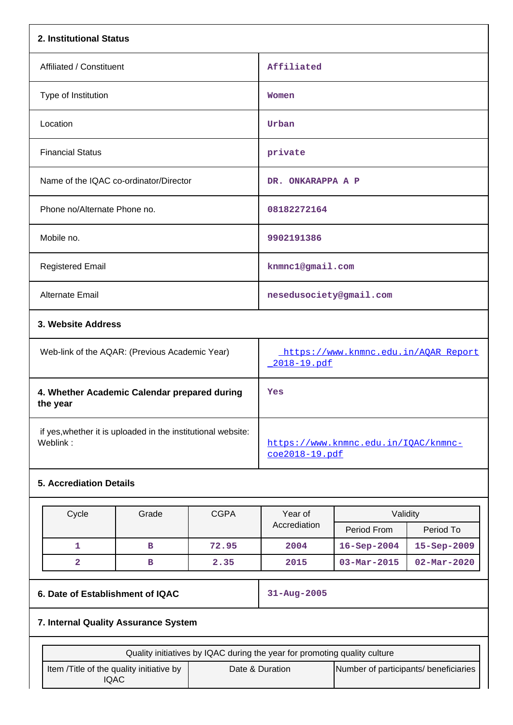| 2. Institutional Status                                  |                                                     |
|----------------------------------------------------------|-----------------------------------------------------|
| Affiliated / Constituent                                 | Affiliated                                          |
| Type of Institution                                      | Women                                               |
| Location                                                 | Urban                                               |
| <b>Financial Status</b>                                  | private                                             |
| Name of the IQAC co-ordinator/Director                   | DR. ONKARAPPA A P                                   |
| Phone no/Alternate Phone no.                             | 08182272164                                         |
| Mobile no.                                               | 9902191386                                          |
| <b>Registered Email</b>                                  | knmnc1@gmail.com                                    |
| Alternate Email                                          | nesedusociety@gmail.com                             |
| 3. Website Address                                       |                                                     |
| Web-link of the AQAR: (Previous Academic Year)           | https://www.knmnc.edu.in/AQAR_Report<br>2018-19.pdf |
| 4. Whether Academic Calendar prepared during<br>the year | Yes                                                 |
|                                                          |                                                     |

 if yes,whether it is uploaded in the institutional website: Weblink: where the state of the state of the state of the state of the state of the state of the state of the state of the state of the state of the state of the state of the state of the state of the state of the state of

## **5. Accrediation Details**

| Cycle | Grade | <b>CGPA</b> | Year of      | Validity                 |                          |
|-------|-------|-------------|--------------|--------------------------|--------------------------|
|       |       |             | Accrediation | Period From              | Period To                |
|       | в     | 72.95       | 2004         | $16 -$ Sep $-2004$       | $15 - Sep - 2009$        |
|       | в     | 2.35        | 2015         | $03 - \text{Mar} - 2015$ | $02 - \text{Mar} - 2020$ |

# **6. Date of Establishment of IQAC 31-Aug-2005**

[coe2018-19.pdf](https://www.knmnc.edu.in/IQAC/knmnc-coe2018-19.pdf)

## **7. Internal Quality Assurance System**

| Quality initiatives by IQAC during the year for promoting quality culture |                 |                                       |  |  |  |  |  |
|---------------------------------------------------------------------------|-----------------|---------------------------------------|--|--|--|--|--|
| Item / Title of the quality initiative by<br>IQAC                         | Date & Duration | Number of participants/ beneficiaries |  |  |  |  |  |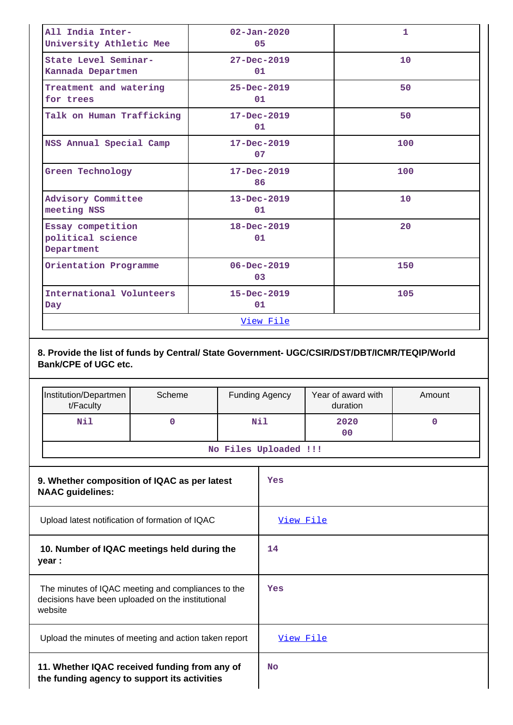| All India Inter-<br>University Athletic Mee          | $02 - Jan - 2020$<br>05 | $\mathbf{1}$ |
|------------------------------------------------------|-------------------------|--------------|
| State Level Seminar-<br>Kannada Departmen            | $27 - Dec - 2019$<br>01 | 10           |
| Treatment and watering<br>for trees                  | $25 - Dec - 2019$<br>01 | 50           |
| Talk on Human Trafficking                            | $17 - Dec - 2019$<br>01 | 50           |
| NSS Annual Special Camp                              | $17 - Dec - 2019$<br>07 | 100          |
| Green Technology                                     | $17 - Dec - 2019$<br>86 | 100          |
| Advisory Committee<br>meeting NSS                    | $13 - Dec - 2019$<br>01 | 10           |
| Essay competition<br>political science<br>Department | 18-Dec-2019<br>01       | 20           |
| Orientation Programme                                | $06 - Dec - 2019$<br>03 | 150          |
| International Volunteers<br>Day                      | $15 - Dec - 2019$<br>01 | 105          |
|                                                      | View File               |              |

**8. Provide the list of funds by Central/ State Government- UGC/CSIR/DST/DBT/ICMR/TEQIP/World Bank/CPE of UGC etc.**

|                                                                         | Institution/Departmen<br>t/Faculty                                                                                 | Scheme |     | <b>Funding Agency</b> | Year of award with<br>duration | Amount      |  |
|-------------------------------------------------------------------------|--------------------------------------------------------------------------------------------------------------------|--------|-----|-----------------------|--------------------------------|-------------|--|
|                                                                         | Nil                                                                                                                | 0      | Nil |                       | 2020<br>0 <sup>0</sup>         | $\mathbf 0$ |  |
|                                                                         |                                                                                                                    |        |     | No Files Uploaded !!! |                                |             |  |
| 9. Whether composition of IQAC as per latest<br><b>NAAC guidelines:</b> |                                                                                                                    |        |     | Yes                   |                                |             |  |
|                                                                         | Upload latest notification of formation of IQAC                                                                    |        |     |                       | View File                      |             |  |
|                                                                         | 10. Number of IQAC meetings held during the<br>year :                                                              |        |     |                       |                                |             |  |
|                                                                         | The minutes of IQAC meeting and compliances to the<br>decisions have been uploaded on the institutional<br>website |        |     | Yes                   |                                |             |  |
|                                                                         | Upload the minutes of meeting and action taken report                                                              |        |     |                       | View File                      |             |  |
|                                                                         | 11. Whether IQAC received funding from any of<br>the funding agency to support its activities                      |        |     |                       |                                |             |  |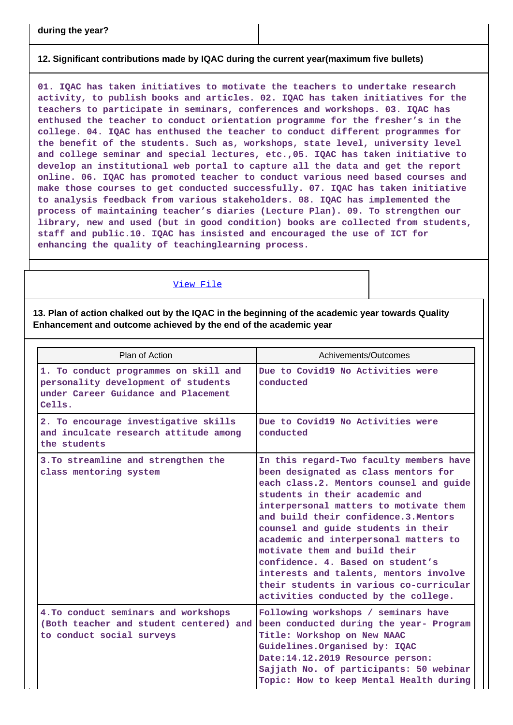## **12. Significant contributions made by IQAC during the current year(maximum five bullets)**

**01. IQAC has taken initiatives to motivate the teachers to undertake research activity, to publish books and articles. 02. IQAC has taken initiatives for the teachers to participate in seminars, conferences and workshops. 03. IQAC has enthused the teacher to conduct orientation programme for the fresher's in the college. 04. IQAC has enthused the teacher to conduct different programmes for the benefit of the students. Such as, workshops, state level, university level and college seminar and special lectures, etc.,05. IQAC has taken initiative to develop an institutional web portal to capture all the data and get the report online. 06. IQAC has promoted teacher to conduct various need based courses and make those courses to get conducted successfully. 07. IQAC has taken initiative to analysis feedback from various stakeholders. 08. IQAC has implemented the process of maintaining teacher's diaries (Lecture Plan). 09. To strengthen our library, new and used (but in good condition) books are collected from students, staff and public.10. IQAC has insisted and encouraged the use of ICT for enhancing the quality of teachinglearning process.**

### [View File](https://assessmentonline.naac.gov.in/public/Postacc/Contribution/13726_Contribution.xlsx)

**13. Plan of action chalked out by the IQAC in the beginning of the academic year towards Quality Enhancement and outcome achieved by the end of the academic year**

| Plan of Action                                                                                                                | Achivements/Outcomes                                                                                                                                                                                                                                                                                                                                                                                                                                                                                                               |
|-------------------------------------------------------------------------------------------------------------------------------|------------------------------------------------------------------------------------------------------------------------------------------------------------------------------------------------------------------------------------------------------------------------------------------------------------------------------------------------------------------------------------------------------------------------------------------------------------------------------------------------------------------------------------|
| 1. To conduct programmes on skill and<br>personality development of students<br>under Career Guidance and Placement<br>Cells. | Due to Covid19 No Activities were<br>conducted                                                                                                                                                                                                                                                                                                                                                                                                                                                                                     |
| 2. To encourage investigative skills<br>and inculcate research attitude among<br>the students                                 | Due to Covid19 No Activities were<br>conducted                                                                                                                                                                                                                                                                                                                                                                                                                                                                                     |
| 3. To streamline and strengthen the<br>class mentoring system                                                                 | In this regard-Two faculty members have<br>been designated as class mentors for<br>each class.2. Mentors counsel and guide<br>students in their academic and<br>interpersonal matters to motivate them<br>and build their confidence.3. Mentors<br>counsel and guide students in their<br>academic and interpersonal matters to<br>motivate them and build their<br>confidence. 4. Based on student's<br>interests and talents, mentors involve<br>their students in various co-curricular<br>activities conducted by the college. |
| 4. To conduct seminars and workshops<br>(Both teacher and student centered) and<br>to conduct social surveys                  | Following workshops / seminars have<br>been conducted during the year- Program<br>Title: Workshop on New NAAC<br>Guidelines. Organised by: IQAC<br>Date:14.12.2019 Resource person:<br>Sajjath No. of participants: 50 webinar<br>Topic: How to keep Mental Health during                                                                                                                                                                                                                                                          |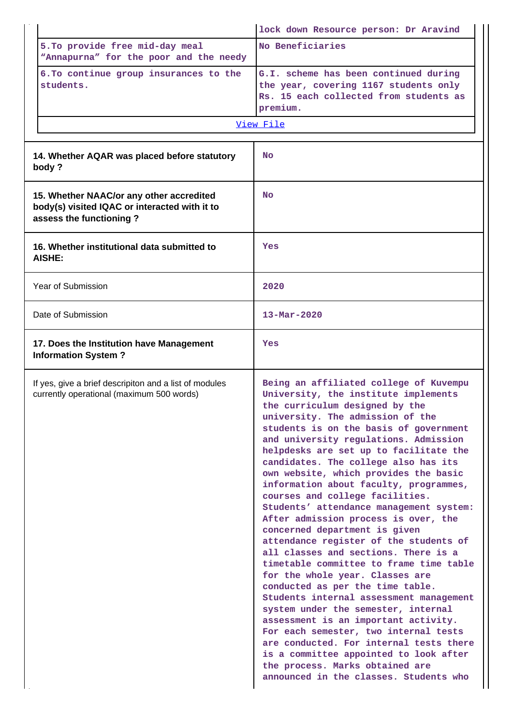|                                                                                                                      | lock down Resource person: Dr Aravind                                                                                                                                                                                                                                                                                                                                                                                                                                                                                                                                                                                                                                                                                                                                                                                                                                                                                                                                                                                                                                                                        |
|----------------------------------------------------------------------------------------------------------------------|--------------------------------------------------------------------------------------------------------------------------------------------------------------------------------------------------------------------------------------------------------------------------------------------------------------------------------------------------------------------------------------------------------------------------------------------------------------------------------------------------------------------------------------------------------------------------------------------------------------------------------------------------------------------------------------------------------------------------------------------------------------------------------------------------------------------------------------------------------------------------------------------------------------------------------------------------------------------------------------------------------------------------------------------------------------------------------------------------------------|
| 5. To provide free mid-day meal<br>"Annapurna" for the poor and the needy                                            | No Beneficiaries                                                                                                                                                                                                                                                                                                                                                                                                                                                                                                                                                                                                                                                                                                                                                                                                                                                                                                                                                                                                                                                                                             |
| 6. To continue group insurances to the<br>students.                                                                  | G.I. scheme has been continued during<br>the year, covering 1167 students only<br>Rs. 15 each collected from students as<br>premium.                                                                                                                                                                                                                                                                                                                                                                                                                                                                                                                                                                                                                                                                                                                                                                                                                                                                                                                                                                         |
|                                                                                                                      | View File                                                                                                                                                                                                                                                                                                                                                                                                                                                                                                                                                                                                                                                                                                                                                                                                                                                                                                                                                                                                                                                                                                    |
| 14. Whether AQAR was placed before statutory<br>body?                                                                | <b>No</b>                                                                                                                                                                                                                                                                                                                                                                                                                                                                                                                                                                                                                                                                                                                                                                                                                                                                                                                                                                                                                                                                                                    |
| 15. Whether NAAC/or any other accredited<br>body(s) visited IQAC or interacted with it to<br>assess the functioning? | <b>No</b>                                                                                                                                                                                                                                                                                                                                                                                                                                                                                                                                                                                                                                                                                                                                                                                                                                                                                                                                                                                                                                                                                                    |
| 16. Whether institutional data submitted to<br><b>AISHE:</b>                                                         | Yes                                                                                                                                                                                                                                                                                                                                                                                                                                                                                                                                                                                                                                                                                                                                                                                                                                                                                                                                                                                                                                                                                                          |
| Year of Submission                                                                                                   | 2020                                                                                                                                                                                                                                                                                                                                                                                                                                                                                                                                                                                                                                                                                                                                                                                                                                                                                                                                                                                                                                                                                                         |
| Date of Submission                                                                                                   | $13 - \text{Mar} - 2020$                                                                                                                                                                                                                                                                                                                                                                                                                                                                                                                                                                                                                                                                                                                                                                                                                                                                                                                                                                                                                                                                                     |
| 17. Does the Institution have Management<br><b>Information System?</b>                                               | Yes                                                                                                                                                                                                                                                                                                                                                                                                                                                                                                                                                                                                                                                                                                                                                                                                                                                                                                                                                                                                                                                                                                          |
| If yes, give a brief descripiton and a list of modules<br>currently operational (maximum 500 words)                  | Being an affiliated college of Kuvempu<br>University, the institute implements<br>the curriculum designed by the<br>university. The admission of the<br>students is on the basis of government<br>and university regulations. Admission<br>helpdesks are set up to facilitate the<br>candidates. The college also has its<br>own website, which provides the basic<br>information about faculty, programmes,<br>courses and college facilities.<br>Students' attendance management system:<br>After admission process is over, the<br>concerned department is given<br>attendance register of the students of<br>all classes and sections. There is a<br>timetable committee to frame time table<br>for the whole year. Classes are<br>conducted as per the time table.<br>Students internal assessment management<br>system under the semester, internal<br>assessment is an important activity.<br>For each semester, two internal tests<br>are conducted. For internal tests there<br>is a committee appointed to look after<br>the process. Marks obtained are<br>announced in the classes. Students who |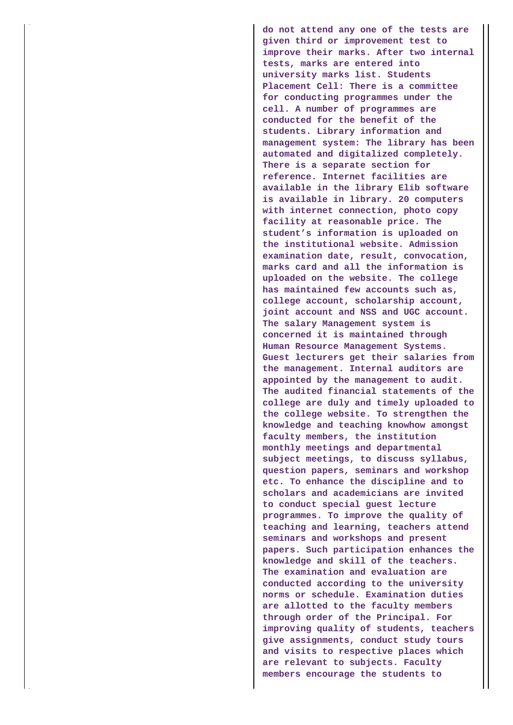**do not attend any one of the tests are given third or improvement test to improve their marks. After two internal tests, marks are entered into university marks list. Students Placement Cell: There is a committee for conducting programmes under the cell. A number of programmes are conducted for the benefit of the students. Library information and management system: The library has been automated and digitalized completely. There is a separate section for reference. Internet facilities are available in the library Elib software is available in library. 20 computers with internet connection, photo copy facility at reasonable price. The student's information is uploaded on the institutional website. Admission examination date, result, convocation, marks card and all the information is uploaded on the website. The college has maintained few accounts such as, college account, scholarship account, joint account and NSS and UGC account. The salary Management system is concerned it is maintained through Human Resource Management Systems. Guest lecturers get their salaries from the management. Internal auditors are appointed by the management to audit. The audited financial statements of the college are duly and timely uploaded to the college website. To strengthen the knowledge and teaching knowhow amongst faculty members, the institution monthly meetings and departmental subject meetings, to discuss syllabus, question papers, seminars and workshop etc. To enhance the discipline and to scholars and academicians are invited to conduct special guest lecture programmes. To improve the quality of teaching and learning, teachers attend seminars and workshops and present papers. Such participation enhances the knowledge and skill of the teachers. The examination and evaluation are conducted according to the university norms or schedule. Examination duties are allotted to the faculty members through order of the Principal. For improving quality of students, teachers give assignments, conduct study tours and visits to respective places which are relevant to subjects. Faculty members encourage the students to**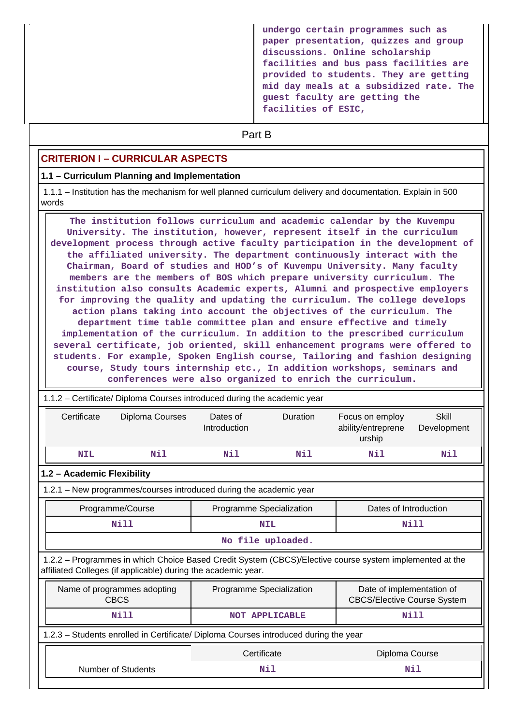**undergo certain programmes such as paper presentation, quizzes and group discussions. Online scholarship facilities and bus pass facilities are provided to students. They are getting mid day meals at a subsidized rate. The guest faculty are getting the facilities of ESIC,**

# **Part B**

## **CRITERION I – CURRICULAR ASPECTS**

#### **1.1 – Curriculum Planning and Implementation**

 1.1.1 – Institution has the mechanism for well planned curriculum delivery and documentation. Explain in 500 words

 **The institution follows curriculum and academic calendar by the Kuvempu University. The institution, however, represent itself in the curriculum development process through active faculty participation in the development of the affiliated university. The department continuously interact with the Chairman, Board of studies and HOD's of Kuvempu University. Many faculty members are the members of BOS which prepare university curriculum. The institution also consults Academic experts, Alumni and prospective employers for improving the quality and updating the curriculum. The college develops action plans taking into account the objectives of the curriculum. The department time table committee plan and ensure effective and timely implementation of the curriculum. In addition to the prescribed curriculum several certificate, job oriented, skill enhancement programs were offered to students. For example, Spoken English course, Tailoring and fashion designing course, Study tours internship etc., In addition workshops, seminars and conferences were also organized to enrich the curriculum.**

# 1.1.2 – Certificate/ Diploma Courses introduced during the academic year Certificate Diploma Courses Dates of Introduction Duration Focus on employ ability/entreprene urship Skill Development  **NIL Nil Nil Nil Nil Nil 1.2 – Academic Flexibility** 1.2.1 – New programmes/courses introduced during the academic year Programme/Course Programme Specialization | Dates of Introduction  **Nill NIL Nill No file uploaded.** 1.2.2 – Programmes in which Choice Based Credit System (CBCS)/Elective course system implemented at the affiliated Colleges (if applicable) during the academic year. Name of programmes adopting CBCS Programme Specialization Figure 1 Date of implementation of CBCS/Elective Course System Nill NOT APPLICABLE **NOT APPLICABLE**  1.2.3 – Students enrolled in Certificate/ Diploma Courses introduced during the year Certificate Diploma Course Number of Students **Nil Nil**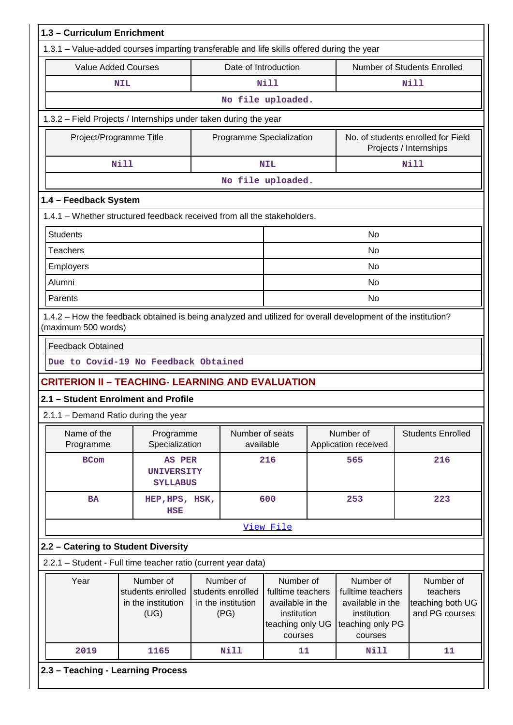|                                                                                                      | <b>Value Added Courses</b><br>Date of Introduction           |  |                                                                                          |                                                                                                  |  |                                                                                                  | Number of Students Enrolled                                 |  |
|------------------------------------------------------------------------------------------------------|--------------------------------------------------------------|--|------------------------------------------------------------------------------------------|--------------------------------------------------------------------------------------------------|--|--------------------------------------------------------------------------------------------------|-------------------------------------------------------------|--|
|                                                                                                      | <b>NIL</b>                                                   |  |                                                                                          | Nill                                                                                             |  |                                                                                                  | <b>Nill</b>                                                 |  |
|                                                                                                      |                                                              |  |                                                                                          | No file uploaded.                                                                                |  |                                                                                                  |                                                             |  |
| 1.3.2 - Field Projects / Internships under taken during the year                                     |                                                              |  |                                                                                          |                                                                                                  |  |                                                                                                  |                                                             |  |
| Project/Programme Title                                                                              |                                                              |  | Programme Specialization<br>No. of students enrolled for Field<br>Projects / Internships |                                                                                                  |  |                                                                                                  |                                                             |  |
|                                                                                                      | <b>Nill</b>                                                  |  |                                                                                          | <b>Nill</b><br><b>NIL</b>                                                                        |  |                                                                                                  |                                                             |  |
|                                                                                                      |                                                              |  |                                                                                          | No file uploaded.                                                                                |  |                                                                                                  |                                                             |  |
| 1.4 - Feedback System                                                                                |                                                              |  |                                                                                          |                                                                                                  |  |                                                                                                  |                                                             |  |
| 1.4.1 - Whether structured feedback received from all the stakeholders.                              |                                                              |  |                                                                                          |                                                                                                  |  |                                                                                                  |                                                             |  |
| <b>Students</b>                                                                                      |                                                              |  |                                                                                          |                                                                                                  |  | No                                                                                               |                                                             |  |
| <b>Teachers</b>                                                                                      |                                                              |  |                                                                                          |                                                                                                  |  | <b>No</b>                                                                                        |                                                             |  |
| Employers                                                                                            |                                                              |  |                                                                                          |                                                                                                  |  | <b>No</b>                                                                                        |                                                             |  |
| Alumni                                                                                               |                                                              |  |                                                                                          |                                                                                                  |  | No                                                                                               |                                                             |  |
| Parents                                                                                              |                                                              |  |                                                                                          |                                                                                                  |  | No                                                                                               |                                                             |  |
| (maximum 500 words)<br><b>Feedback Obtained</b>                                                      |                                                              |  |                                                                                          |                                                                                                  |  |                                                                                                  |                                                             |  |
| Due to Covid-19 No Feedback Obtained                                                                 |                                                              |  |                                                                                          |                                                                                                  |  |                                                                                                  |                                                             |  |
| <b>CRITERION II - TEACHING- LEARNING AND EVALUATION</b>                                              |                                                              |  |                                                                                          |                                                                                                  |  |                                                                                                  |                                                             |  |
| 2.1 - Student Enrolment and Profile                                                                  |                                                              |  |                                                                                          |                                                                                                  |  |                                                                                                  |                                                             |  |
| 2.1.1 - Demand Ratio during the year                                                                 |                                                              |  |                                                                                          |                                                                                                  |  |                                                                                                  |                                                             |  |
|                                                                                                      |                                                              |  |                                                                                          |                                                                                                  |  | Number of                                                                                        |                                                             |  |
| Name of the<br>Programme                                                                             | Programme<br>Specialization                                  |  | available                                                                                | Number of seats                                                                                  |  | Application received                                                                             |                                                             |  |
| <b>BCom</b>                                                                                          | AS PER<br><b>UNIVERSITY</b><br><b>SYLLABUS</b>               |  |                                                                                          | 216                                                                                              |  | 565                                                                                              | 216                                                         |  |
| <b>BA</b>                                                                                            | HEP, HPS, HSK,<br><b>HSE</b>                                 |  |                                                                                          | 600                                                                                              |  | 253                                                                                              | 223                                                         |  |
|                                                                                                      |                                                              |  |                                                                                          | View File                                                                                        |  |                                                                                                  | <b>Students Enrolled</b>                                    |  |
|                                                                                                      |                                                              |  |                                                                                          |                                                                                                  |  |                                                                                                  |                                                             |  |
| 2.2 - Catering to Student Diversity<br>2.2.1 - Student - Full time teacher ratio (current year data) |                                                              |  |                                                                                          |                                                                                                  |  |                                                                                                  |                                                             |  |
| Year                                                                                                 | Number of<br>students enrolled<br>in the institution<br>(UG) |  | Number of<br>students enrolled<br>in the institution<br>(PG)                             | Number of<br>fulltime teachers<br>available in the<br>institution<br>teaching only UG<br>courses |  | Number of<br>fulltime teachers<br>available in the<br>institution<br>teaching only PG<br>courses | Number of<br>teachers<br>teaching both UG<br>and PG courses |  |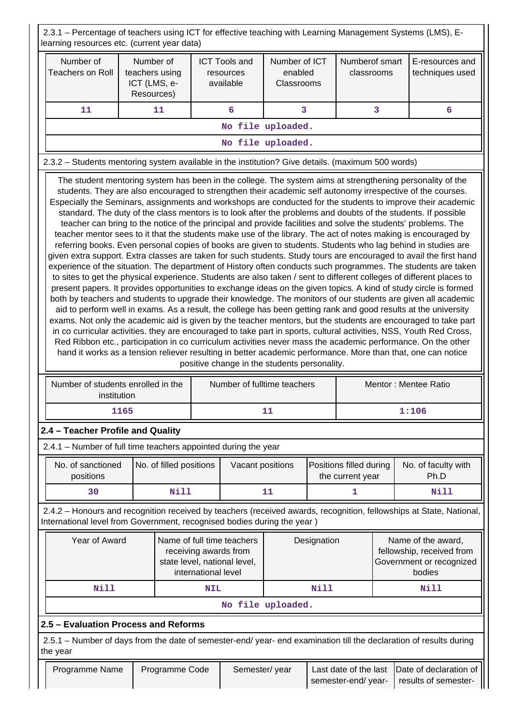2.3.1 – Percentage of teachers using ICT for effective teaching with Learning Management Systems (LMS), Elearning resources etc. (current year data)

| learning resources etc. (current year data)                                                                                                                                                                                                                                                                                                                                                                                                                                                                                                                                                                                                                                                                                                                                                                                                                                                                                                                                                                                                                                                                                                                                                                                                                                                                                                                                                                                                                                                                                                                                                                                                                                                                                                                                                                                                                                                                                                                                                                                                                |              |                                           |            |                                                |                                        |             |                                             |   |                                                                                                                     |
|------------------------------------------------------------------------------------------------------------------------------------------------------------------------------------------------------------------------------------------------------------------------------------------------------------------------------------------------------------------------------------------------------------------------------------------------------------------------------------------------------------------------------------------------------------------------------------------------------------------------------------------------------------------------------------------------------------------------------------------------------------------------------------------------------------------------------------------------------------------------------------------------------------------------------------------------------------------------------------------------------------------------------------------------------------------------------------------------------------------------------------------------------------------------------------------------------------------------------------------------------------------------------------------------------------------------------------------------------------------------------------------------------------------------------------------------------------------------------------------------------------------------------------------------------------------------------------------------------------------------------------------------------------------------------------------------------------------------------------------------------------------------------------------------------------------------------------------------------------------------------------------------------------------------------------------------------------------------------------------------------------------------------------------------------------|--------------|-------------------------------------------|------------|------------------------------------------------|----------------------------------------|-------------|---------------------------------------------|---|---------------------------------------------------------------------------------------------------------------------|
| Number of<br><b>Teachers on Roll</b>                                                                                                                                                                                                                                                                                                                                                                                                                                                                                                                                                                                                                                                                                                                                                                                                                                                                                                                                                                                                                                                                                                                                                                                                                                                                                                                                                                                                                                                                                                                                                                                                                                                                                                                                                                                                                                                                                                                                                                                                                       | ICT (LMS, e- | Number of<br>teachers using<br>Resources) |            | <b>ICT Tools and</b><br>resources<br>available | Number of ICT<br>enabled<br>Classrooms |             | Numberof smart<br>classrooms                |   | E-resources and<br>techniques used                                                                                  |
| 11                                                                                                                                                                                                                                                                                                                                                                                                                                                                                                                                                                                                                                                                                                                                                                                                                                                                                                                                                                                                                                                                                                                                                                                                                                                                                                                                                                                                                                                                                                                                                                                                                                                                                                                                                                                                                                                                                                                                                                                                                                                         |              | 11                                        |            | 6                                              | 3                                      |             |                                             | 3 | 6                                                                                                                   |
|                                                                                                                                                                                                                                                                                                                                                                                                                                                                                                                                                                                                                                                                                                                                                                                                                                                                                                                                                                                                                                                                                                                                                                                                                                                                                                                                                                                                                                                                                                                                                                                                                                                                                                                                                                                                                                                                                                                                                                                                                                                            |              |                                           |            |                                                | No file uploaded.                      |             |                                             |   |                                                                                                                     |
| No file uploaded.                                                                                                                                                                                                                                                                                                                                                                                                                                                                                                                                                                                                                                                                                                                                                                                                                                                                                                                                                                                                                                                                                                                                                                                                                                                                                                                                                                                                                                                                                                                                                                                                                                                                                                                                                                                                                                                                                                                                                                                                                                          |              |                                           |            |                                                |                                        |             |                                             |   |                                                                                                                     |
| 2.3.2 - Students mentoring system available in the institution? Give details. (maximum 500 words)                                                                                                                                                                                                                                                                                                                                                                                                                                                                                                                                                                                                                                                                                                                                                                                                                                                                                                                                                                                                                                                                                                                                                                                                                                                                                                                                                                                                                                                                                                                                                                                                                                                                                                                                                                                                                                                                                                                                                          |              |                                           |            |                                                |                                        |             |                                             |   |                                                                                                                     |
| The student mentoring system has been in the college. The system aims at strengthening personality of the<br>students. They are also encouraged to strengthen their academic self autonomy irrespective of the courses.<br>Especially the Seminars, assignments and workshops are conducted for the students to improve their academic<br>standard. The duty of the class mentors is to look after the problems and doubts of the students. If possible<br>teacher can bring to the notice of the principal and provide facilities and solve the students' problems. The<br>teacher mentor sees to it that the students make use of the library. The act of notes making is encouraged by<br>referring books. Even personal copies of books are given to students. Students who lag behind in studies are<br>given extra support. Extra classes are taken for such students. Study tours are encouraged to avail the first hand<br>experience of the situation. The department of History often conducts such programmes. The students are taken<br>to sites to get the physical experience. Students are also taken / sent to different colleges of different places to<br>present papers. It provides opportunities to exchange ideas on the given topics. A kind of study circle is formed<br>both by teachers and students to upgrade their knowledge. The monitors of our students are given all academic<br>aid to perform well in exams. As a result, the college has been getting rank and good results at the university<br>exams. Not only the academic aid is given by the teacher mentors, but the students are encouraged to take part<br>in co curricular activities. they are encouraged to take part in sports, cultural activities, NSS, Youth Red Cross,<br>Red Ribbon etc., participation in co curriculum activities never mass the academic performance. On the other<br>hand it works as a tension reliever resulting in better academic performance. More than that, one can notice<br>positive change in the students personality. |              |                                           |            |                                                |                                        |             |                                             |   |                                                                                                                     |
| Number of students enrolled in the<br>institution                                                                                                                                                                                                                                                                                                                                                                                                                                                                                                                                                                                                                                                                                                                                                                                                                                                                                                                                                                                                                                                                                                                                                                                                                                                                                                                                                                                                                                                                                                                                                                                                                                                                                                                                                                                                                                                                                                                                                                                                          |              |                                           |            |                                                | Number of fulltime teachers            |             |                                             |   | Mentor: Mentee Ratio                                                                                                |
|                                                                                                                                                                                                                                                                                                                                                                                                                                                                                                                                                                                                                                                                                                                                                                                                                                                                                                                                                                                                                                                                                                                                                                                                                                                                                                                                                                                                                                                                                                                                                                                                                                                                                                                                                                                                                                                                                                                                                                                                                                                            | 1165         |                                           |            |                                                | 11                                     |             |                                             |   | 1:106                                                                                                               |
| 2.4 - Teacher Profile and Quality                                                                                                                                                                                                                                                                                                                                                                                                                                                                                                                                                                                                                                                                                                                                                                                                                                                                                                                                                                                                                                                                                                                                                                                                                                                                                                                                                                                                                                                                                                                                                                                                                                                                                                                                                                                                                                                                                                                                                                                                                          |              |                                           |            |                                                |                                        |             |                                             |   |                                                                                                                     |
| 2.4.1 - Number of full time teachers appointed during the year                                                                                                                                                                                                                                                                                                                                                                                                                                                                                                                                                                                                                                                                                                                                                                                                                                                                                                                                                                                                                                                                                                                                                                                                                                                                                                                                                                                                                                                                                                                                                                                                                                                                                                                                                                                                                                                                                                                                                                                             |              |                                           |            |                                                |                                        |             |                                             |   |                                                                                                                     |
| No. of sanctioned<br>positions                                                                                                                                                                                                                                                                                                                                                                                                                                                                                                                                                                                                                                                                                                                                                                                                                                                                                                                                                                                                                                                                                                                                                                                                                                                                                                                                                                                                                                                                                                                                                                                                                                                                                                                                                                                                                                                                                                                                                                                                                             |              | No. of filled positions                   |            | Vacant positions                               |                                        |             | Positions filled during<br>the current year |   | No. of faculty with<br>Ph.D                                                                                         |
| 30                                                                                                                                                                                                                                                                                                                                                                                                                                                                                                                                                                                                                                                                                                                                                                                                                                                                                                                                                                                                                                                                                                                                                                                                                                                                                                                                                                                                                                                                                                                                                                                                                                                                                                                                                                                                                                                                                                                                                                                                                                                         |              | Nill                                      |            |                                                | 11                                     |             | 1                                           |   | Nill                                                                                                                |
| International level from Government, recognised bodies during the year)                                                                                                                                                                                                                                                                                                                                                                                                                                                                                                                                                                                                                                                                                                                                                                                                                                                                                                                                                                                                                                                                                                                                                                                                                                                                                                                                                                                                                                                                                                                                                                                                                                                                                                                                                                                                                                                                                                                                                                                    |              |                                           |            |                                                |                                        |             |                                             |   | 2.4.2 - Honours and recognition received by teachers (received awards, recognition, fellowships at State, National, |
| Year of Award<br>Name of full time teachers<br>Designation<br>Name of the award,<br>fellowship, received from<br>receiving awards from<br>Government or recognized<br>state level, national level,<br>international level<br>bodies                                                                                                                                                                                                                                                                                                                                                                                                                                                                                                                                                                                                                                                                                                                                                                                                                                                                                                                                                                                                                                                                                                                                                                                                                                                                                                                                                                                                                                                                                                                                                                                                                                                                                                                                                                                                                        |              |                                           |            |                                                |                                        |             |                                             |   |                                                                                                                     |
| <b>Nill</b>                                                                                                                                                                                                                                                                                                                                                                                                                                                                                                                                                                                                                                                                                                                                                                                                                                                                                                                                                                                                                                                                                                                                                                                                                                                                                                                                                                                                                                                                                                                                                                                                                                                                                                                                                                                                                                                                                                                                                                                                                                                |              |                                           | <b>NIL</b> |                                                |                                        | <b>Nill</b> |                                             |   | Nill                                                                                                                |
|                                                                                                                                                                                                                                                                                                                                                                                                                                                                                                                                                                                                                                                                                                                                                                                                                                                                                                                                                                                                                                                                                                                                                                                                                                                                                                                                                                                                                                                                                                                                                                                                                                                                                                                                                                                                                                                                                                                                                                                                                                                            |              |                                           |            |                                                | No file uploaded.                      |             |                                             |   |                                                                                                                     |
| 2.5 - Evaluation Process and Reforms                                                                                                                                                                                                                                                                                                                                                                                                                                                                                                                                                                                                                                                                                                                                                                                                                                                                                                                                                                                                                                                                                                                                                                                                                                                                                                                                                                                                                                                                                                                                                                                                                                                                                                                                                                                                                                                                                                                                                                                                                       |              |                                           |            |                                                |                                        |             |                                             |   |                                                                                                                     |
| 2.5.1 – Number of days from the date of semester-end/ year- end examination till the declaration of results during<br>the year                                                                                                                                                                                                                                                                                                                                                                                                                                                                                                                                                                                                                                                                                                                                                                                                                                                                                                                                                                                                                                                                                                                                                                                                                                                                                                                                                                                                                                                                                                                                                                                                                                                                                                                                                                                                                                                                                                                             |              |                                           |            |                                                |                                        |             |                                             |   |                                                                                                                     |
| Programme Name                                                                                                                                                                                                                                                                                                                                                                                                                                                                                                                                                                                                                                                                                                                                                                                                                                                                                                                                                                                                                                                                                                                                                                                                                                                                                                                                                                                                                                                                                                                                                                                                                                                                                                                                                                                                                                                                                                                                                                                                                                             |              | Programme Code                            |            | Semester/year                                  |                                        |             | Last date of the last<br>semester-end/year- |   | Date of declaration of<br>results of semester-                                                                      |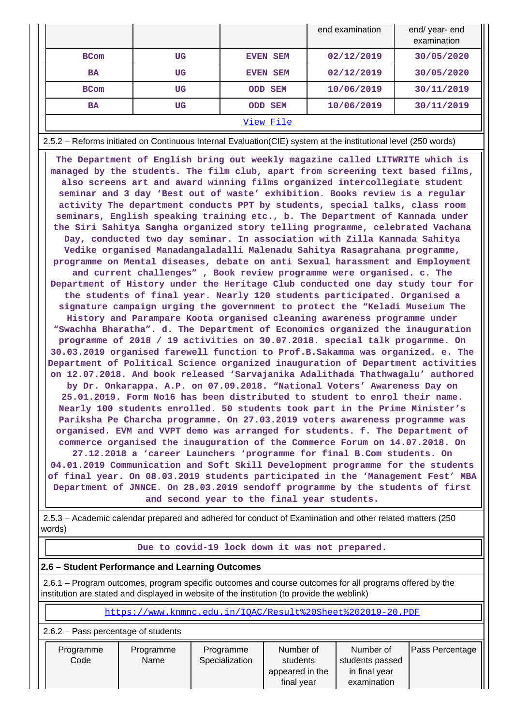|             |    |                 | end examination | end/ year- end<br>examination |
|-------------|----|-----------------|-----------------|-------------------------------|
| <b>BCom</b> | UG | <b>EVEN SEM</b> | 02/12/2019      | 30/05/2020                    |
| <b>BA</b>   | UG | <b>EVEN SEM</b> | 02/12/2019      | 30/05/2020                    |
| <b>BCom</b> | UG | <b>ODD SEM</b>  | 10/06/2019      | 30/11/2019                    |
| <b>BA</b>   | UG | ODD SEM         | 10/06/2019      | 30/11/2019                    |
|             |    | View File       |                 |                               |

2.5.2 – Reforms initiated on Continuous Internal Evaluation(CIE) system at the institutional level (250 words)

 **The Department of English bring out weekly magazine called LITWRITE which is managed by the students. The film club, apart from screening text based films, also screens art and award winning films organized intercollegiate student seminar and 3 day 'Best out of waste' exhibition. Books review is a regular activity The department conducts PPT by students, special talks, class room seminars, English speaking training etc., b. The Department of Kannada under the Siri Sahitya Sangha organized story telling programme, celebrated Vachana Day, conducted two day seminar. In association with Zilla Kannada Sahitya Vedike organised Manadangaladalli Malenadu Sahitya Rasagrahana programme, programme on Mental diseases, debate on anti Sexual harassment and Employment and current challenges" , Book review programme were organised. c. The Department of History under the Heritage Club conducted one day study tour for the students of final year. Nearly 120 students participated. Organised a signature campaign urging the government to protect the "Keladi Museium The History and Parampare Koota organised cleaning awareness programme under "Swachha Bharatha". d. The Department of Economics organized the inauguration programme of 2018 / 19 activities on 30.07.2018. special talk progarmme. On 30.03.2019 organised farewell function to Prof.B.Sakamma was organized. e. The Department of Political Science organized inauguration of Department activities on 12.07.2018. And book released 'Sarvajanika Adalithada Thathwagalu' authored by Dr. Onkarappa. A.P. on 07.09.2018. "National Voters' Awareness Day on 25.01.2019. Form No16 has been distributed to student to enrol their name. Nearly 100 students enrolled. 50 students took part in the Prime Minister's Pariksha Pe Charcha programme. On 27.03.2019 voters awareness programme was organised. EVM and VVPT demo was arranged for students. f. The Department of commerce organised the inauguration of the Commerce Forum on 14.07.2018. On 27.12.2018 a 'career Launchers 'programme for final B.Com students. On 04.01.2019 Communication and Soft Skill Development programme for the students of final year. On 08.03.2019 students participated in the 'Management Fest' MBA Department of JNNCE. On 28.03.2019 sendoff programme by the students of first and second year to the final year students.**

 2.5.3 – Academic calendar prepared and adhered for conduct of Examination and other related matters (250 words)

#### **Due to covid-19 lock down it was not prepared.**

### **2.6 – Student Performance and Learning Outcomes**

 2.6.1 – Program outcomes, program specific outcomes and course outcomes for all programs offered by the institution are stated and displayed in website of the institution (to provide the weblink)

<https://www.knmnc.edu.in/IQAC/Result%20Sheet%202019-20.PDF>

| 2.6.2 – Pass percentage of students |  |
|-------------------------------------|--|
|                                     |  |

| Programme | Programme | Programme      | Number of       | Number of       | <b>Pass Percentage</b> |
|-----------|-----------|----------------|-----------------|-----------------|------------------------|
| Code      | Name      | Specialization | students        | students passed |                        |
|           |           |                | appeared in the | in final year   |                        |
|           |           |                | final year      | examination     |                        |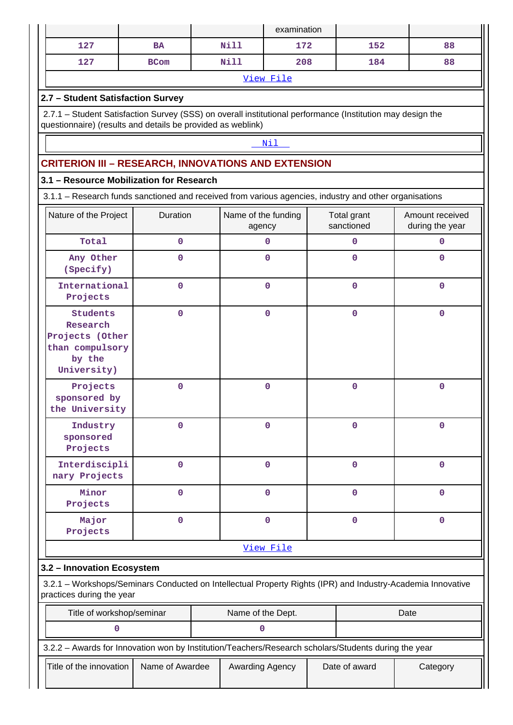|                                                                                                                                                                           |                 |                               | examination     |  |                           |                                    |
|---------------------------------------------------------------------------------------------------------------------------------------------------------------------------|-----------------|-------------------------------|-----------------|--|---------------------------|------------------------------------|
| 127                                                                                                                                                                       | <b>BA</b>       | Nill                          | 172             |  | 152                       | 88                                 |
| 127                                                                                                                                                                       | <b>BCom</b>     | <b>Nill</b>                   | 208             |  | 184                       | 88                                 |
|                                                                                                                                                                           |                 |                               | View File       |  |                           |                                    |
| 2.7 - Student Satisfaction Survey                                                                                                                                         |                 |                               |                 |  |                           |                                    |
| 2.7.1 - Student Satisfaction Survey (SSS) on overall institutional performance (Institution may design the<br>questionnaire) (results and details be provided as weblink) |                 |                               |                 |  |                           |                                    |
|                                                                                                                                                                           |                 |                               | Nil             |  |                           |                                    |
| <b>CRITERION III - RESEARCH, INNOVATIONS AND EXTENSION</b>                                                                                                                |                 |                               |                 |  |                           |                                    |
| 3.1 - Resource Mobilization for Research                                                                                                                                  |                 |                               |                 |  |                           |                                    |
| 3.1.1 - Research funds sanctioned and received from various agencies, industry and other organisations                                                                    |                 |                               |                 |  |                           |                                    |
| Nature of the Project                                                                                                                                                     | Duration        | Name of the funding<br>agency |                 |  | Total grant<br>sanctioned | Amount received<br>during the year |
| Total                                                                                                                                                                     | $\mathbf 0$     |                               | $\mathbf 0$     |  | $\mathbf 0$               | $\mathbf{O}$                       |
| Any Other<br>(Specify)                                                                                                                                                    | 0               |                               | $\mathbf 0$     |  | $\mathbf 0$               | $\mathbf 0$                        |
| International<br>Projects                                                                                                                                                 | $\mathbf 0$     |                               | $\mathbf 0$     |  | $\mathbf 0$               | $\mathbf{0}$                       |
| <b>Students</b><br>Research<br>Projects (Other<br>than compulsory<br>by the<br>University)                                                                                | $\mathbf 0$     |                               | $\mathbf 0$     |  | $\mathbf 0$               | $\mathbf 0$                        |
| Projects<br>sponsored by<br>the University                                                                                                                                | $\mathbf 0$     |                               | $\mathbf 0$     |  | $\mathbf 0$               | 0                                  |
| Industry<br>sponsored<br>Projects                                                                                                                                         | 0               |                               | $\mathbf 0$     |  | 0                         | 0                                  |
| Interdiscipli<br>nary Projects                                                                                                                                            | $\mathbf 0$     |                               | $\mathbf 0$     |  | $\mathbf 0$               | $\mathbf 0$                        |
| Minor<br>Projects                                                                                                                                                         | $\mathbf 0$     |                               | $\mathbf 0$     |  | 0                         | $\mathbf 0$                        |
| Major<br>Projects                                                                                                                                                         | 0               |                               | $\mathbf 0$     |  | $\mathbf 0$               | $\mathbf 0$                        |
|                                                                                                                                                                           |                 |                               | View File       |  |                           |                                    |
| 3.2 - Innovation Ecosystem                                                                                                                                                |                 |                               |                 |  |                           |                                    |
| 3.2.1 - Workshops/Seminars Conducted on Intellectual Property Rights (IPR) and Industry-Academia Innovative<br>practices during the year                                  |                 |                               |                 |  |                           |                                    |
| Title of workshop/seminar                                                                                                                                                 |                 | Name of the Dept.             |                 |  |                           | Date                               |
| $\mathbf 0$                                                                                                                                                               |                 | 0                             |                 |  |                           |                                    |
| 3.2.2 - Awards for Innovation won by Institution/Teachers/Research scholars/Students during the year                                                                      |                 |                               |                 |  |                           |                                    |
| Title of the innovation                                                                                                                                                   | Name of Awardee |                               | Awarding Agency |  | Date of award             | Category                           |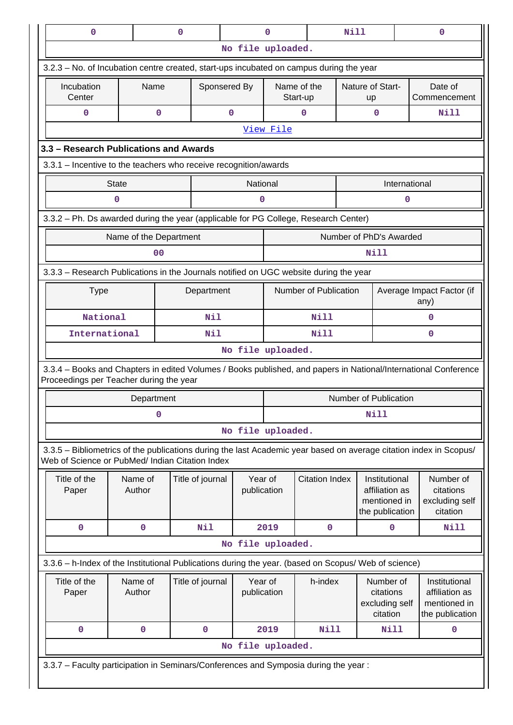| $\mathbf 0$                                                                                                                                                           |                                                                                                      |                        | $\mathbf 0$                                |                  |                        | $\mathbf 0$ |                         | Nill                                                 |                                                                    | $\mathbf 0$                                          |  |
|-----------------------------------------------------------------------------------------------------------------------------------------------------------------------|------------------------------------------------------------------------------------------------------|------------------------|--------------------------------------------|------------------|------------------------|-------------|-------------------------|------------------------------------------------------|--------------------------------------------------------------------|------------------------------------------------------|--|
|                                                                                                                                                                       |                                                                                                      |                        |                                            |                  | No file uploaded.      |             |                         |                                                      |                                                                    |                                                      |  |
| 3.2.3 – No. of Incubation centre created, start-ups incubated on campus during the year                                                                               |                                                                                                      |                        |                                            |                  |                        |             |                         |                                                      |                                                                    |                                                      |  |
| Incubation<br>Center                                                                                                                                                  |                                                                                                      | Name                   |                                            | Sponsered By     |                        |             | Name of the<br>Start-up | up                                                   | Nature of Start-                                                   | Date of<br>Commencement                              |  |
| $\mathbf 0$                                                                                                                                                           |                                                                                                      | 0                      |                                            |                  | 0                      |             | 0                       |                                                      | 0                                                                  | Nill                                                 |  |
|                                                                                                                                                                       |                                                                                                      |                        |                                            |                  |                        | View File   |                         |                                                      |                                                                    |                                                      |  |
| 3.3 - Research Publications and Awards                                                                                                                                |                                                                                                      |                        |                                            |                  |                        |             |                         |                                                      |                                                                    |                                                      |  |
| 3.3.1 - Incentive to the teachers who receive recognition/awards                                                                                                      |                                                                                                      |                        |                                            |                  |                        |             |                         |                                                      |                                                                    |                                                      |  |
|                                                                                                                                                                       | <b>State</b>                                                                                         |                        |                                            |                  | National               |             |                         |                                                      | International                                                      |                                                      |  |
|                                                                                                                                                                       | 0                                                                                                    |                        |                                            |                  | 0                      |             |                         |                                                      | 0                                                                  |                                                      |  |
| 3.3.2 - Ph. Ds awarded during the year (applicable for PG College, Research Center)                                                                                   |                                                                                                      |                        |                                            |                  |                        |             |                         |                                                      |                                                                    |                                                      |  |
|                                                                                                                                                                       |                                                                                                      | Name of the Department |                                            |                  |                        |             |                         |                                                      | Number of PhD's Awarded                                            |                                                      |  |
|                                                                                                                                                                       |                                                                                                      | 00                     |                                            |                  |                        |             |                         |                                                      | Nill                                                               |                                                      |  |
| 3.3.3 - Research Publications in the Journals notified on UGC website during the year                                                                                 |                                                                                                      |                        |                                            |                  |                        |             |                         |                                                      |                                                                    |                                                      |  |
| <b>Type</b>                                                                                                                                                           |                                                                                                      |                        |                                            | Department       |                        |             | Number of Publication   |                                                      |                                                                    | Average Impact Factor (if<br>any)                    |  |
| National                                                                                                                                                              |                                                                                                      |                        |                                            | Nil              |                        | <b>Nill</b> |                         |                                                      | $\Omega$                                                           |                                                      |  |
| International                                                                                                                                                         |                                                                                                      |                        |                                            | Nil              |                        |             | Nill                    |                                                      | $\mathbf{0}$                                                       |                                                      |  |
|                                                                                                                                                                       |                                                                                                      |                        |                                            |                  | No file uploaded.      |             |                         |                                                      |                                                                    |                                                      |  |
| 3.3.4 - Books and Chapters in edited Volumes / Books published, and papers in National/International Conference<br>Proceedings per Teacher during the year            |                                                                                                      |                        |                                            |                  |                        |             |                         |                                                      |                                                                    |                                                      |  |
|                                                                                                                                                                       |                                                                                                      | Department             |                                            |                  |                        |             |                         |                                                      | Number of Publication                                              |                                                      |  |
|                                                                                                                                                                       |                                                                                                      | 0                      |                                            |                  |                        | Nill        |                         |                                                      |                                                                    |                                                      |  |
|                                                                                                                                                                       |                                                                                                      |                        |                                            |                  | No file uploaded.      |             |                         |                                                      |                                                                    |                                                      |  |
| 3.3.5 - Bibliometrics of the publications during the last Academic year based on average citation index in Scopus/<br>Web of Science or PubMed/ Indian Citation Index |                                                                                                      |                        |                                            |                  |                        |             |                         |                                                      |                                                                    |                                                      |  |
| Title of the<br>Paper                                                                                                                                                 |                                                                                                      | Name of<br>Author      |                                            | Title of journal | Year of<br>publication |             | <b>Citation Index</b>   |                                                      | Institutional<br>affiliation as<br>mentioned in<br>the publication | Number of<br>citations<br>excluding self<br>citation |  |
| 0                                                                                                                                                                     |                                                                                                      | 0                      |                                            | Nil              |                        | 2019        | $\mathbf 0$             |                                                      | $\mathbf 0$                                                        | Nill                                                 |  |
|                                                                                                                                                                       |                                                                                                      |                        |                                            |                  | No file uploaded.      |             |                         |                                                      |                                                                    |                                                      |  |
|                                                                                                                                                                       | 3.3.6 - h-Index of the Institutional Publications during the year. (based on Scopus/ Web of science) |                        |                                            |                  |                        |             |                         |                                                      |                                                                    |                                                      |  |
| Title of the<br>Paper                                                                                                                                                 |                                                                                                      | Name of<br>Author      | Year of<br>Title of journal<br>publication |                  |                        | h-index     |                         | Number of<br>citations<br>excluding self<br>citation | Institutional<br>affiliation as<br>mentioned in<br>the publication |                                                      |  |
| 0                                                                                                                                                                     |                                                                                                      | $\mathbf 0$            |                                            | $\mathbf 0$      |                        | 2019        | <b>Nill</b>             |                                                      | Nill                                                               | 0                                                    |  |
|                                                                                                                                                                       |                                                                                                      |                        |                                            |                  | No file uploaded.      |             |                         |                                                      |                                                                    |                                                      |  |
|                                                                                                                                                                       |                                                                                                      |                        |                                            |                  |                        |             |                         |                                                      |                                                                    |                                                      |  |
| 3.3.7 - Faculty participation in Seminars/Conferences and Symposia during the year:                                                                                   |                                                                                                      |                        |                                            |                  |                        |             |                         |                                                      |                                                                    |                                                      |  |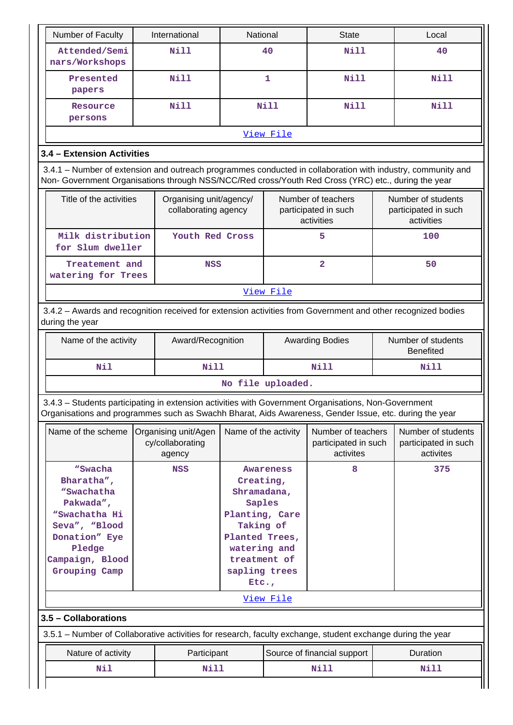| Number of Faculty                                                                                                                                                                                                  |  | International                                      | National                                                                                                                                          |           | <b>State</b>                                             |  | Local                                                    |  |
|--------------------------------------------------------------------------------------------------------------------------------------------------------------------------------------------------------------------|--|----------------------------------------------------|---------------------------------------------------------------------------------------------------------------------------------------------------|-----------|----------------------------------------------------------|--|----------------------------------------------------------|--|
| Attended/Semi<br>nars/Workshops                                                                                                                                                                                    |  | Nill                                               | 40                                                                                                                                                |           | Nill                                                     |  | 40                                                       |  |
| Presented<br>papers                                                                                                                                                                                                |  | <b>Nill</b>                                        |                                                                                                                                                   | 1         | <b>Nill</b>                                              |  | <b>Nill</b>                                              |  |
| Resource<br>persons                                                                                                                                                                                                |  | <b>Nill</b>                                        | <b>Nill</b>                                                                                                                                       |           | <b>Nill</b>                                              |  | <b>Nill</b>                                              |  |
|                                                                                                                                                                                                                    |  |                                                    |                                                                                                                                                   | View File |                                                          |  |                                                          |  |
| 3.4 - Extension Activities                                                                                                                                                                                         |  |                                                    |                                                                                                                                                   |           |                                                          |  |                                                          |  |
| 3.4.1 – Number of extension and outreach programmes conducted in collaboration with industry, community and<br>Non- Government Organisations through NSS/NCC/Red cross/Youth Red Cross (YRC) etc., during the year |  |                                                    |                                                                                                                                                   |           |                                                          |  |                                                          |  |
| Title of the activities                                                                                                                                                                                            |  | Organising unit/agency/<br>collaborating agency    |                                                                                                                                                   |           | Number of teachers<br>participated in such<br>activities |  | Number of students<br>participated in such<br>activities |  |
| Milk distribution<br>for Slum dweller                                                                                                                                                                              |  | Youth Red Cross                                    |                                                                                                                                                   |           | 5                                                        |  | 100                                                      |  |
| Treatement and<br>watering for Trees                                                                                                                                                                               |  | <b>NSS</b>                                         |                                                                                                                                                   |           | $\overline{a}$                                           |  | 50                                                       |  |
|                                                                                                                                                                                                                    |  |                                                    |                                                                                                                                                   | View File |                                                          |  |                                                          |  |
| 3.4.2 - Awards and recognition received for extension activities from Government and other recognized bodies<br>during the year                                                                                    |  |                                                    |                                                                                                                                                   |           |                                                          |  |                                                          |  |
| Name of the activity                                                                                                                                                                                               |  |                                                    | Award/Recognition                                                                                                                                 |           | <b>Awarding Bodies</b>                                   |  | Number of students<br><b>Benefited</b>                   |  |
| Nil                                                                                                                                                                                                                |  | <b>Nill</b>                                        |                                                                                                                                                   |           | <b>Nill</b>                                              |  | Nill                                                     |  |
|                                                                                                                                                                                                                    |  |                                                    | No file uploaded.                                                                                                                                 |           |                                                          |  |                                                          |  |
| 3.4.3 - Students participating in extension activities with Government Organisations, Non-Government<br>Organisations and programmes such as Swachh Bharat, Aids Awareness, Gender Issue, etc. during the year     |  |                                                    |                                                                                                                                                   |           |                                                          |  |                                                          |  |
| Name of the scheme                                                                                                                                                                                                 |  | Organising unit/Agen<br>cy/collaborating<br>agency | Name of the activity                                                                                                                              |           | Number of teachers<br>participated in such<br>activites  |  | Number of students<br>participated in such<br>activites  |  |
| "Swacha<br>Bharatha",<br>"Swachatha<br>Pakwada",<br>"Swachatha Hi<br>Seva", "Blood<br>Donation" Eye<br>Pledge<br>Campaign, Blood<br>Grouping Camp                                                                  |  | <b>NSS</b>                                         | Awareness<br>Creating,<br>Shramadana,<br>Saples<br>Planting, Care<br>Taking of<br>Planted Trees,<br>watering and<br>treatment of<br>sapling trees |           | 8                                                        |  | 375                                                      |  |
|                                                                                                                                                                                                                    |  |                                                    | Etc.,                                                                                                                                             | View File |                                                          |  |                                                          |  |
| 3.5 - Collaborations                                                                                                                                                                                               |  |                                                    |                                                                                                                                                   |           |                                                          |  |                                                          |  |
| 3.5.1 – Number of Collaborative activities for research, faculty exchange, student exchange during the year                                                                                                        |  |                                                    |                                                                                                                                                   |           |                                                          |  |                                                          |  |
| Nature of activity                                                                                                                                                                                                 |  | Participant                                        |                                                                                                                                                   |           | Source of financial support                              |  | Duration                                                 |  |
| Nil                                                                                                                                                                                                                |  | Nill                                               |                                                                                                                                                   |           | Nill                                                     |  | Nill                                                     |  |
|                                                                                                                                                                                                                    |  |                                                    |                                                                                                                                                   |           |                                                          |  |                                                          |  |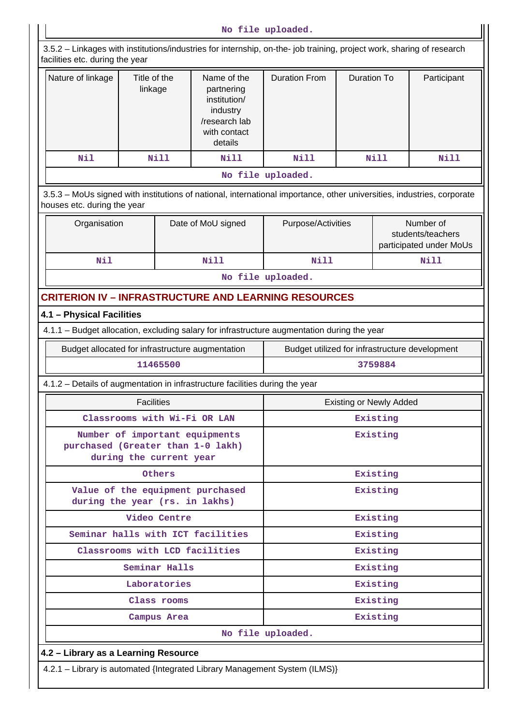**No file uploaded.** 3.5.2 – Linkages with institutions/industries for internship, on-the- job training, project work, sharing of research facilities etc. during the year Nature of linkage  $\parallel$  Title of the linkage Name of the partnering institution/ industry /research lab with contact details Duration From | Duration To | Participant Nil | Nill | Nill | Nill | Nill | Nill **No file uploaded.** 3.5.3 – MoUs signed with institutions of national, international importance, other universities, industries, corporate houses etc. during the year Organisation | Date of MoU signed | Purpose/Activities | Number of students/teachers participated under MoUs  **Nil Nill Nill Nill No file uploaded. CRITERION IV – INFRASTRUCTURE AND LEARNING RESOURCES 4.1 – Physical Facilities** 4.1.1 – Budget allocation, excluding salary for infrastructure augmentation during the year Budget allocated for infrastructure augmentation <br>Budget utilized for infrastructure augmentation <br>Budget utilized for infrastructure development  **11465500 3759884** 4.1.2 – Details of augmentation in infrastructure facilities during the year Facilities **Existing or Newly Added Classrooms with Wi-Fi OR LAN Existing Number of important equipments purchased (Greater than 1-0 lakh) during the current year Existing** Others **Existing Value of the equipment purchased during the year (rs. in lakhs) Existing** Video Centre **Existing Seminar halls with ICT facilities Existing Classrooms with LCD facilities Existing Seminar Halls Existing Laboratories Existing Class rooms Existing Campus Area Existing No file uploaded. 4.2 – Library as a Learning Resource** 4.2.1 – Library is automated {Integrated Library Management System (ILMS)}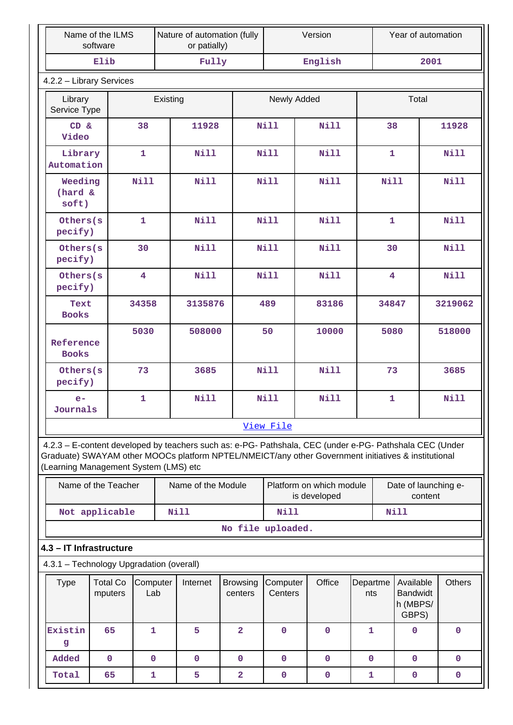|                                                                                                                                              | Name of the ILMS<br>software |                         |  | Nature of automation (fully<br>or patially) |                            |                     | Version                                                                                                 |                 | Year of automation                                |               |
|----------------------------------------------------------------------------------------------------------------------------------------------|------------------------------|-------------------------|--|---------------------------------------------|----------------------------|---------------------|---------------------------------------------------------------------------------------------------------|-----------------|---------------------------------------------------|---------------|
|                                                                                                                                              | Elib                         |                         |  | Fully                                       |                            |                     | English                                                                                                 |                 | 2001                                              |               |
|                                                                                                                                              | 4.2.2 - Library Services     |                         |  |                                             |                            |                     |                                                                                                         |                 |                                                   |               |
| Library                                                                                                                                      | Existing<br>Service Type     |                         |  |                                             | Newly Added                |                     |                                                                                                         | Total           |                                                   |               |
| CD &<br>Video                                                                                                                                |                              | 38                      |  | 11928                                       |                            | Nill                | Nill                                                                                                    |                 | 38                                                | 11928         |
| Library<br>Automation                                                                                                                        |                              | $\mathbf{1}$            |  | <b>Nill</b>                                 |                            | <b>Nill</b>         | Nill                                                                                                    |                 | $\mathbf{1}$                                      | <b>Nill</b>   |
| Weeding<br>(hard &<br>soft)                                                                                                                  |                              | <b>Nill</b>             |  | <b>Nill</b>                                 |                            | <b>Nill</b>         | Nill                                                                                                    |                 | <b>Nill</b>                                       | <b>Nill</b>   |
| Others(s<br>pecify)                                                                                                                          |                              | $\mathbf{1}$            |  | <b>Nill</b>                                 |                            | <b>Nill</b>         | Nill                                                                                                    |                 | $\mathbf{1}$                                      | <b>Nill</b>   |
| Others(s<br>pecify)                                                                                                                          |                              | 30                      |  | <b>Nill</b>                                 |                            | <b>Nill</b>         | Nill                                                                                                    |                 | 30                                                | Nill          |
| Others(s<br>pecify)                                                                                                                          |                              | $\overline{\mathbf{4}}$ |  | <b>Nill</b>                                 |                            | <b>Nill</b>         | Nill                                                                                                    |                 | 4                                                 | <b>Nill</b>   |
| Text<br><b>Books</b>                                                                                                                         |                              | 34358                   |  | 3135876                                     |                            | 489                 | 83186                                                                                                   |                 | 34847                                             | 3219062       |
| Reference<br><b>Books</b>                                                                                                                    |                              | 5030                    |  | 508000                                      |                            | 50                  | 10000                                                                                                   |                 | 5080                                              | 518000        |
| Others(s<br>pecify)                                                                                                                          |                              | 73                      |  | 3685                                        |                            | <b>Nill</b><br>Nill |                                                                                                         |                 | 73                                                | 3685          |
| $e-$<br>Journals                                                                                                                             |                              | $\mathbf{1}$            |  | <b>Nill</b>                                 |                            | <b>Nill</b><br>Nill |                                                                                                         |                 | $\mathbf{1}$                                      | <b>Nill</b>   |
|                                                                                                                                              |                              |                         |  |                                             |                            | View File           |                                                                                                         |                 |                                                   |               |
| Graduate) SWAYAM other MOOCs platform NPTEL/NMEICT/any other Government initiatives & institutional<br>(Learning Management System (LMS) etc |                              |                         |  |                                             |                            |                     | 4.2.3 - E-content developed by teachers such as: e-PG- Pathshala, CEC (under e-PG- Pathshala CEC (Under |                 |                                                   |               |
|                                                                                                                                              | Name of the Teacher          |                         |  | Name of the Module                          |                            |                     | Platform on which module<br>is developed                                                                |                 | Date of launching e-<br>content                   |               |
|                                                                                                                                              | Not applicable               |                         |  | Nill                                        |                            | <b>Nill</b>         |                                                                                                         |                 | <b>Nill</b>                                       |               |
|                                                                                                                                              |                              |                         |  |                                             | No file uploaded.          |                     |                                                                                                         |                 |                                                   |               |
| 4.3 - IT Infrastructure                                                                                                                      |                              |                         |  |                                             |                            |                     |                                                                                                         |                 |                                                   |               |
| 4.3.1 - Technology Upgradation (overall)                                                                                                     |                              |                         |  |                                             |                            |                     |                                                                                                         |                 |                                                   |               |
| <b>Type</b>                                                                                                                                  | <b>Total Co</b><br>mputers   | Computer<br>Lab         |  | Internet                                    | <b>Browsing</b><br>centers | Computer<br>Centers | Office                                                                                                  | Departme<br>nts | Available<br><b>Bandwidt</b><br>h (MBPS/<br>GBPS) | <b>Others</b> |
| Existin<br>g                                                                                                                                 | 65                           | $\mathbf{1}$            |  | 5                                           | $\overline{a}$             | $\mathbf 0$         | $\mathbf 0$                                                                                             | 1               | $\mathbf 0$                                       | $\mathbf 0$   |
| Added                                                                                                                                        | $\mathbf 0$                  | $\mathbf 0$             |  | $\mathbf{0}$                                | $\mathbf 0$                | $\mathbf{0}$        | $\mathbf 0$                                                                                             | 0               | 0                                                 | $\mathbf{0}$  |
| Total                                                                                                                                        | 65                           | $\mathbf{1}$            |  | 5                                           | $\overline{a}$             | $\mathbf 0$         | $\mathbf 0$                                                                                             | 1               | $\mathbf 0$                                       | $\mathbf 0$   |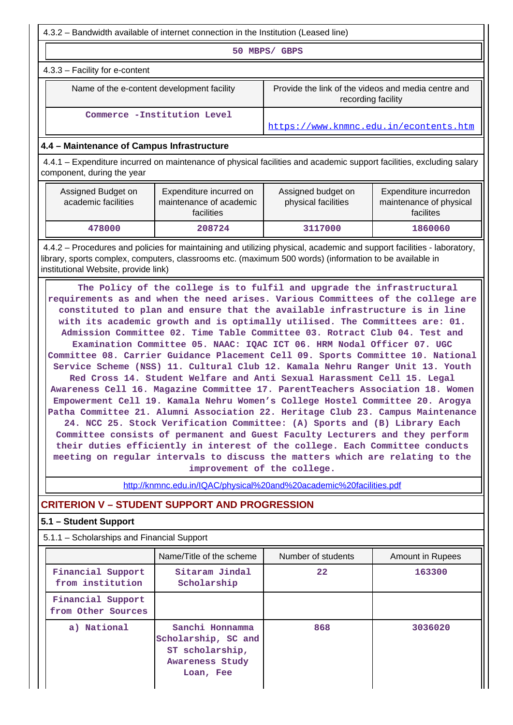| 4.3.2 – Bandwidth available of internet connection in the Institution (Leased line)                                                                                                                                                                                      |                                                                                                                                                                                                                                                                                                                                                                                                                                                                                                                                                                                                                                                                                                                                                                                                                                                                                                                                                                                                                                                                                                                                                                                                                                                                         |                                                                           |                                                                |  |  |  |
|--------------------------------------------------------------------------------------------------------------------------------------------------------------------------------------------------------------------------------------------------------------------------|-------------------------------------------------------------------------------------------------------------------------------------------------------------------------------------------------------------------------------------------------------------------------------------------------------------------------------------------------------------------------------------------------------------------------------------------------------------------------------------------------------------------------------------------------------------------------------------------------------------------------------------------------------------------------------------------------------------------------------------------------------------------------------------------------------------------------------------------------------------------------------------------------------------------------------------------------------------------------------------------------------------------------------------------------------------------------------------------------------------------------------------------------------------------------------------------------------------------------------------------------------------------------|---------------------------------------------------------------------------|----------------------------------------------------------------|--|--|--|
| 50 MBPS/ GBPS                                                                                                                                                                                                                                                            |                                                                                                                                                                                                                                                                                                                                                                                                                                                                                                                                                                                                                                                                                                                                                                                                                                                                                                                                                                                                                                                                                                                                                                                                                                                                         |                                                                           |                                                                |  |  |  |
| 4.3.3 - Facility for e-content                                                                                                                                                                                                                                           |                                                                                                                                                                                                                                                                                                                                                                                                                                                                                                                                                                                                                                                                                                                                                                                                                                                                                                                                                                                                                                                                                                                                                                                                                                                                         |                                                                           |                                                                |  |  |  |
| Name of the e-content development facility                                                                                                                                                                                                                               |                                                                                                                                                                                                                                                                                                                                                                                                                                                                                                                                                                                                                                                                                                                                                                                                                                                                                                                                                                                                                                                                                                                                                                                                                                                                         | Provide the link of the videos and media centre and<br>recording facility |                                                                |  |  |  |
| Commerce -Institution Level<br>https://www.knmnc.edu.in/econtents.htm                                                                                                                                                                                                    |                                                                                                                                                                                                                                                                                                                                                                                                                                                                                                                                                                                                                                                                                                                                                                                                                                                                                                                                                                                                                                                                                                                                                                                                                                                                         |                                                                           |                                                                |  |  |  |
| 4.4 - Maintenance of Campus Infrastructure                                                                                                                                                                                                                               |                                                                                                                                                                                                                                                                                                                                                                                                                                                                                                                                                                                                                                                                                                                                                                                                                                                                                                                                                                                                                                                                                                                                                                                                                                                                         |                                                                           |                                                                |  |  |  |
| 4.4.1 – Expenditure incurred on maintenance of physical facilities and academic support facilities, excluding salary<br>component, during the year                                                                                                                       |                                                                                                                                                                                                                                                                                                                                                                                                                                                                                                                                                                                                                                                                                                                                                                                                                                                                                                                                                                                                                                                                                                                                                                                                                                                                         |                                                                           |                                                                |  |  |  |
| Assigned Budget on<br>academic facilities                                                                                                                                                                                                                                | Expenditure incurred on<br>maintenance of academic<br>facilities                                                                                                                                                                                                                                                                                                                                                                                                                                                                                                                                                                                                                                                                                                                                                                                                                                                                                                                                                                                                                                                                                                                                                                                                        | Assigned budget on<br>physical facilities                                 | Expenditure incurredon<br>maintenance of physical<br>facilites |  |  |  |
| 478000                                                                                                                                                                                                                                                                   | 208724                                                                                                                                                                                                                                                                                                                                                                                                                                                                                                                                                                                                                                                                                                                                                                                                                                                                                                                                                                                                                                                                                                                                                                                                                                                                  | 3117000                                                                   | 1860060                                                        |  |  |  |
| 4.4.2 - Procedures and policies for maintaining and utilizing physical, academic and support facilities - laboratory,<br>library, sports complex, computers, classrooms etc. (maximum 500 words) (information to be available in<br>institutional Website, provide link) | The Policy of the college is to fulfil and upgrade the infrastructural                                                                                                                                                                                                                                                                                                                                                                                                                                                                                                                                                                                                                                                                                                                                                                                                                                                                                                                                                                                                                                                                                                                                                                                                  |                                                                           |                                                                |  |  |  |
|                                                                                                                                                                                                                                                                          | requirements as and when the need arises. Various Committees of the college are<br>constituted to plan and ensure that the available infrastructure is in line<br>with its academic growth and is optimally utilised. The Committees are: 01.<br>Admission Committee 02. Time Table Committee 03. Rotract Club 04. Test and<br>Examination Committee 05. NAAC: IQAC ICT 06. HRM Nodal Officer 07. UGC<br>Committee 08. Carrier Guidance Placement Cell 09. Sports Committee 10. National<br>Service Scheme (NSS) 11. Cultural Club 12. Kamala Nehru Ranger Unit 13. Youth<br>Red Cross 14. Student Welfare and Anti Sexual Harassment Cell 15. Legal<br>Awareness Cell 16. Magazine Committee 17. ParentTeachers Association 18. Women<br>Empowerment Cell 19. Kamala Nehru Women's College Hostel Committee 20. Arogya<br>Patha Committee 21. Alumni Association 22. Heritage Club 23. Campus Maintenance<br>24. NCC 25. Stock Verification Committee: (A) Sports and (B) Library Each<br>Committee consists of permanent and Guest Faculty Lecturers and they perform<br>their duties efficiently in interest of the college. Each Committee conducts<br>meeting on regular intervals to discuss the matters which are relating to the<br>improvement of the college. |                                                                           |                                                                |  |  |  |
|                                                                                                                                                                                                                                                                          | http://knmnc.edu.in/IQAC/physical%20and%20academic%20facilities.pdf                                                                                                                                                                                                                                                                                                                                                                                                                                                                                                                                                                                                                                                                                                                                                                                                                                                                                                                                                                                                                                                                                                                                                                                                     |                                                                           |                                                                |  |  |  |
| <b>CRITERION V - STUDENT SUPPORT AND PROGRESSION</b>                                                                                                                                                                                                                     |                                                                                                                                                                                                                                                                                                                                                                                                                                                                                                                                                                                                                                                                                                                                                                                                                                                                                                                                                                                                                                                                                                                                                                                                                                                                         |                                                                           |                                                                |  |  |  |
| 5.1 - Student Support                                                                                                                                                                                                                                                    |                                                                                                                                                                                                                                                                                                                                                                                                                                                                                                                                                                                                                                                                                                                                                                                                                                                                                                                                                                                                                                                                                                                                                                                                                                                                         |                                                                           |                                                                |  |  |  |
| 5.1.1 - Scholarships and Financial Support                                                                                                                                                                                                                               |                                                                                                                                                                                                                                                                                                                                                                                                                                                                                                                                                                                                                                                                                                                                                                                                                                                                                                                                                                                                                                                                                                                                                                                                                                                                         |                                                                           |                                                                |  |  |  |
| Financial Support                                                                                                                                                                                                                                                        | Name/Title of the scheme<br>Sitaram Jindal                                                                                                                                                                                                                                                                                                                                                                                                                                                                                                                                                                                                                                                                                                                                                                                                                                                                                                                                                                                                                                                                                                                                                                                                                              | Number of students<br>22                                                  | <b>Amount in Rupees</b><br>163300                              |  |  |  |
| from institution                                                                                                                                                                                                                                                         | Scholarship                                                                                                                                                                                                                                                                                                                                                                                                                                                                                                                                                                                                                                                                                                                                                                                                                                                                                                                                                                                                                                                                                                                                                                                                                                                             |                                                                           |                                                                |  |  |  |
| Financial Support<br>from Other Sources                                                                                                                                                                                                                                  |                                                                                                                                                                                                                                                                                                                                                                                                                                                                                                                                                                                                                                                                                                                                                                                                                                                                                                                                                                                                                                                                                                                                                                                                                                                                         |                                                                           |                                                                |  |  |  |
| a) National                                                                                                                                                                                                                                                              | Sanchi Honnamma<br>Scholarship, SC and<br>ST scholarship,<br>Awareness Study<br>Loan, Fee                                                                                                                                                                                                                                                                                                                                                                                                                                                                                                                                                                                                                                                                                                                                                                                                                                                                                                                                                                                                                                                                                                                                                                               | 868                                                                       | 3036020                                                        |  |  |  |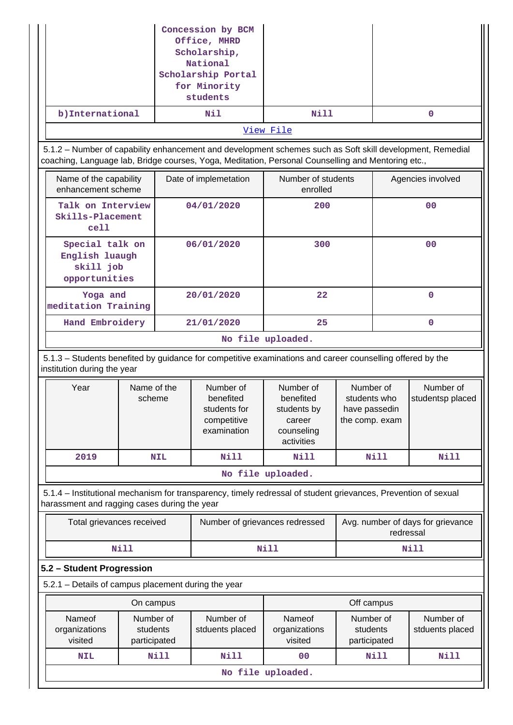|                                                                                                                                                                                                                 |                                       |            | Concession by BCM<br>Office, MHRD<br>Scholarship,<br>National<br>Scholarship Portal<br>for Minority<br>students |                                                                             |                                                              |                                                |  |
|-----------------------------------------------------------------------------------------------------------------------------------------------------------------------------------------------------------------|---------------------------------------|------------|-----------------------------------------------------------------------------------------------------------------|-----------------------------------------------------------------------------|--------------------------------------------------------------|------------------------------------------------|--|
| b) International                                                                                                                                                                                                |                                       |            | Nil                                                                                                             | Nill                                                                        |                                                              | $\mathbf 0$                                    |  |
|                                                                                                                                                                                                                 |                                       |            |                                                                                                                 | View File                                                                   |                                                              |                                                |  |
| 5.1.2 - Number of capability enhancement and development schemes such as Soft skill development, Remedial<br>coaching, Language lab, Bridge courses, Yoga, Meditation, Personal Counselling and Mentoring etc., |                                       |            |                                                                                                                 |                                                                             |                                                              |                                                |  |
| Name of the capability<br>enhancement scheme                                                                                                                                                                    |                                       |            | Date of implemetation                                                                                           | Number of students<br>enrolled                                              |                                                              | Agencies involved                              |  |
| Talk on Interview<br>Skills-Placement<br>cell                                                                                                                                                                   |                                       |            | 04/01/2020                                                                                                      | 200                                                                         |                                                              | 0 <sub>0</sub>                                 |  |
| Special talk on<br>English luaugh<br>skill job<br>opportunities                                                                                                                                                 |                                       |            | 06/01/2020                                                                                                      | 300                                                                         |                                                              | 00                                             |  |
| Yoga and<br>meditation Training                                                                                                                                                                                 |                                       |            | 20/01/2020                                                                                                      | 22                                                                          |                                                              | $\mathbf 0$                                    |  |
| Hand Embroidery                                                                                                                                                                                                 |                                       |            | 21/01/2020                                                                                                      | 25                                                                          |                                                              | $\mathbf{0}$                                   |  |
|                                                                                                                                                                                                                 |                                       |            |                                                                                                                 | No file uploaded.                                                           |                                                              |                                                |  |
| 5.1.3 - Students benefited by guidance for competitive examinations and career counselling offered by the<br>institution during the year                                                                        |                                       |            |                                                                                                                 |                                                                             |                                                              |                                                |  |
| Year                                                                                                                                                                                                            | Name of the<br>scheme                 |            | Number of<br>benefited<br>students for<br>competitive<br>examination                                            | Number of<br>benefited<br>students by<br>career<br>counseling<br>activities | Number of<br>students who<br>have passedin<br>the comp. exam | Number of<br>studentsp placed                  |  |
| 2019                                                                                                                                                                                                            |                                       | <b>NIL</b> | <b>Nill</b>                                                                                                     | Nill                                                                        | Nill                                                         | <b>Nill</b>                                    |  |
|                                                                                                                                                                                                                 |                                       |            |                                                                                                                 | No file uploaded.                                                           |                                                              |                                                |  |
| 5.1.4 – Institutional mechanism for transparency, timely redressal of student grievances, Prevention of sexual<br>harassment and ragging cases during the year                                                  |                                       |            |                                                                                                                 |                                                                             |                                                              |                                                |  |
| Total grievances received                                                                                                                                                                                       |                                       |            | Number of grievances redressed                                                                                  |                                                                             |                                                              | Avg. number of days for grievance<br>redressal |  |
|                                                                                                                                                                                                                 | <b>Nill</b>                           |            |                                                                                                                 | <b>Nill</b>                                                                 |                                                              | Nill                                           |  |
| 5.2 - Student Progression                                                                                                                                                                                       |                                       |            |                                                                                                                 |                                                                             |                                                              |                                                |  |
| 5.2.1 - Details of campus placement during the year                                                                                                                                                             |                                       |            |                                                                                                                 |                                                                             |                                                              |                                                |  |
|                                                                                                                                                                                                                 | On campus                             |            |                                                                                                                 |                                                                             | Off campus                                                   |                                                |  |
| Nameof<br>organizations<br>visited                                                                                                                                                                              | Number of<br>students<br>participated |            | Number of<br>stduents placed                                                                                    | Nameof<br>organizations<br>visited                                          | Number of<br>students<br>participated                        | Number of<br>stduents placed                   |  |
| <b>NIL</b>                                                                                                                                                                                                      |                                       | Nill       | Nill                                                                                                            | 00                                                                          | Nill                                                         | <b>Nill</b>                                    |  |
|                                                                                                                                                                                                                 |                                       |            |                                                                                                                 | No file uploaded.                                                           |                                                              |                                                |  |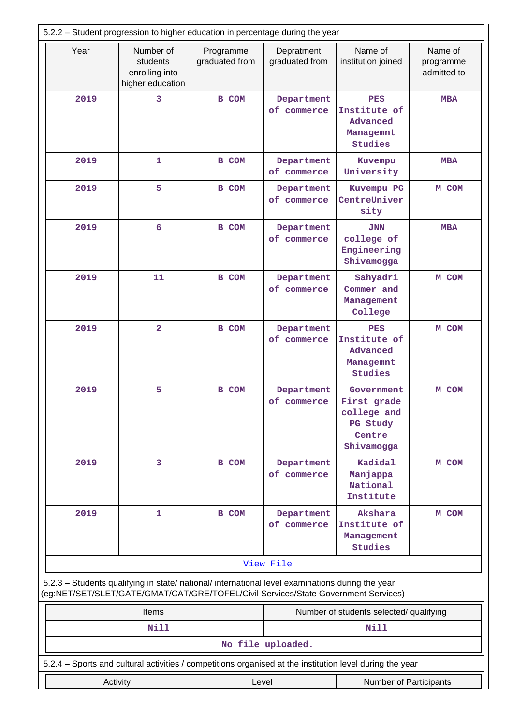| 5.2.2 - Student progression to higher education in percentage during the year                                                                                                          |                                                             |                             |                              |                                                                                                          |                                     |  |
|----------------------------------------------------------------------------------------------------------------------------------------------------------------------------------------|-------------------------------------------------------------|-----------------------------|------------------------------|----------------------------------------------------------------------------------------------------------|-------------------------------------|--|
| Year                                                                                                                                                                                   | Number of<br>students<br>enrolling into<br>higher education | Programme<br>graduated from | Depratment<br>graduated from | Name of<br>institution joined                                                                            | Name of<br>programme<br>admitted to |  |
| 2019                                                                                                                                                                                   | 3                                                           | <b>B</b> COM                | Department<br>of commerce    | <b>PES</b><br>Institute of<br>Advanced<br>Managemnt<br><b>Studies</b>                                    | <b>MBA</b>                          |  |
| 2019                                                                                                                                                                                   | 1                                                           | <b>B</b> COM                | Department<br>of commerce    | Kuvempu<br>University                                                                                    | <b>MBA</b>                          |  |
| 2019                                                                                                                                                                                   | 5                                                           | <b>B</b> COM                | Department<br>of commerce    | Kuvempu PG<br>CentreUniver<br>sity                                                                       | M COM                               |  |
| 2019                                                                                                                                                                                   | 6                                                           | <b>B COM</b>                | Department<br>of commerce    | <b>JNN</b><br>college of<br>Engineering<br>Shivamogga                                                    | <b>MBA</b>                          |  |
| 2019                                                                                                                                                                                   | 11                                                          | <b>B</b> COM                | Department<br>of commerce    | Sahyadri<br>Commer and<br>Management<br>College                                                          | M COM                               |  |
| 2019                                                                                                                                                                                   | $\overline{2}$                                              | <b>B</b> COM                | Department<br>of commerce    | <b>PES</b><br>Institute of<br>Advanced<br>Managemnt<br><b>Studies</b>                                    | M COM                               |  |
| 2019                                                                                                                                                                                   | 5                                                           | B COM                       | Department<br>of commerce    | Government<br>First grade<br>college and<br>PG Study<br>Centre<br>Shivamogga                             | M COM                               |  |
| 2019                                                                                                                                                                                   | 3                                                           | <b>B</b> COM                | Department<br>of commerce    | Kadidal<br>Manjappa<br>National<br>Institute                                                             | M COM                               |  |
| 2019                                                                                                                                                                                   | 1                                                           | <b>B</b> COM                | Department<br>of commerce    | Akshara<br>Institute of<br>Management<br>Studies                                                         | M COM                               |  |
|                                                                                                                                                                                        |                                                             |                             | View File                    |                                                                                                          |                                     |  |
| 5.2.3 - Students qualifying in state/ national/ international level examinations during the year<br>(eg:NET/SET/SLET/GATE/GMAT/CAT/GRE/TOFEL/Civil Services/State Government Services) |                                                             |                             |                              |                                                                                                          |                                     |  |
| Items<br>Number of students selected/ qualifying                                                                                                                                       |                                                             |                             |                              |                                                                                                          |                                     |  |
|                                                                                                                                                                                        | Nill                                                        |                             |                              | Nill                                                                                                     |                                     |  |
|                                                                                                                                                                                        |                                                             |                             | No file uploaded.            |                                                                                                          |                                     |  |
|                                                                                                                                                                                        |                                                             |                             |                              | 5.2.4 - Sports and cultural activities / competitions organised at the institution level during the year |                                     |  |
| Activity                                                                                                                                                                               |                                                             | Level                       | Number of Participants       |                                                                                                          |                                     |  |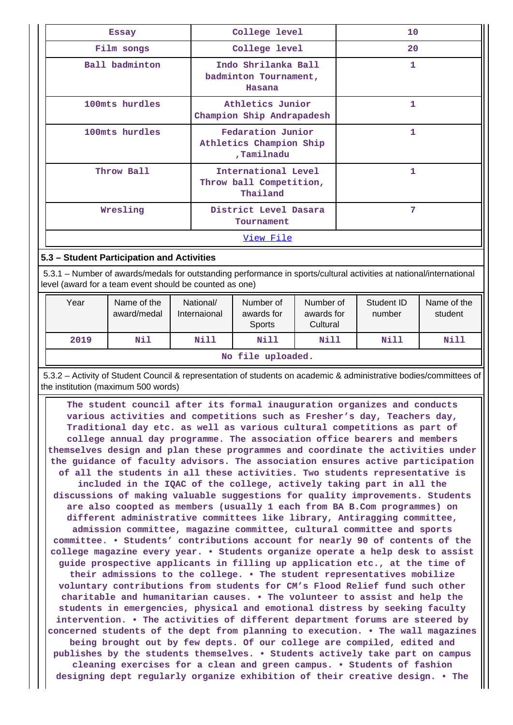| <b>Essay</b>   | College level                                              | 10           |  |  |
|----------------|------------------------------------------------------------|--------------|--|--|
| Film songs     | College level                                              | 20           |  |  |
| Ball badminton | Indo Shrilanka Ball<br>badminton Tournament,<br>Hasana     | 1            |  |  |
| 100mts hurdles | Athletics Junior<br>Champion Ship Andrapadesh              |              |  |  |
| 100mts hurdles | Fedaration Junior<br>Athletics Champion Ship<br>,Tamilnadu | $\mathbf{1}$ |  |  |
| Throw Ball     | International Level<br>Throw ball Competition,<br>Thailand | 1            |  |  |
| Wresling       | District Level Dasara<br>Tournament                        | 7            |  |  |
|                | <u>View File</u>                                           |              |  |  |

### **5.3 – Student Participation and Activities**

 5.3.1 – Number of awards/medals for outstanding performance in sports/cultural activities at national/international level (award for a team event should be counted as one)

| Year | Name of the<br>award/medal | National/<br>Internaional | Number of<br>awards for<br><b>Sports</b> | Number of<br>awards for<br>Cultural | Student ID<br>number | Name of the<br>student |  |
|------|----------------------------|---------------------------|------------------------------------------|-------------------------------------|----------------------|------------------------|--|
| 2019 | Nil                        | Nill                      | Nill                                     | Nill                                | Nill                 | Nill                   |  |
|      | No file uploaded.          |                           |                                          |                                     |                      |                        |  |

 5.3.2 – Activity of Student Council & representation of students on academic & administrative bodies/committees of the institution (maximum 500 words)

 **The student council after its formal inauguration organizes and conducts various activities and competitions such as Fresher's day, Teachers day, Traditional day etc. as well as various cultural competitions as part of college annual day programme. The association office bearers and members themselves design and plan these programmes and coordinate the activities under the guidance of faculty advisors. The association ensures active participation of all the students in all these activities. Two students representative is included in the IQAC of the college, actively taking part in all the discussions of making valuable suggestions for quality improvements. Students are also coopted as members (usually 1 each from BA B.Com programmes) on different administrative committees like library, Antiragging committee, admission committee, magazine committee, cultural committee and sports committee. • Students' contributions account for nearly 90 of contents of the college magazine every year. • Students organize operate a help desk to assist guide prospective applicants in filling up application etc., at the time of their admissions to the college. • The student representatives mobilize voluntary contributions from students for CM's Flood Relief fund such other charitable and humanitarian causes. • The volunteer to assist and help the students in emergencies, physical and emotional distress by seeking faculty intervention. • The activities of different department forums are steered by concerned students of the dept from planning to execution. • The wall magazines being brought out by few depts. Of our college are compiled, edited and publishes by the students themselves. • Students actively take part on campus cleaning exercises for a clean and green campus. • Students of fashion designing dept regularly organize exhibition of their creative design. • The**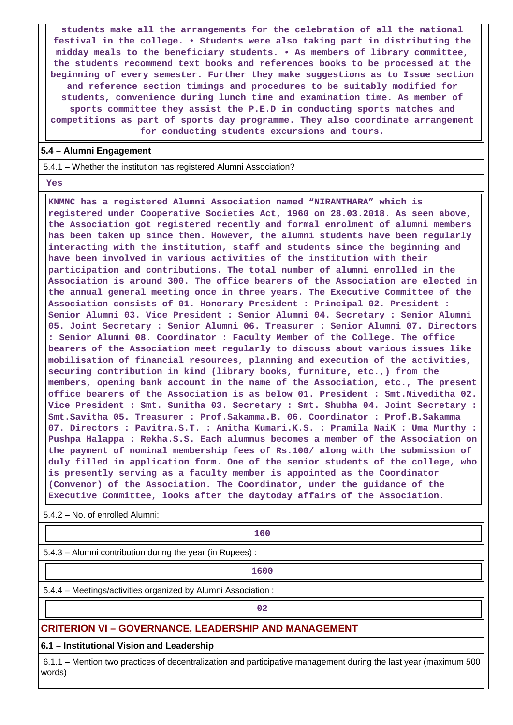**students make all the arrangements for the celebration of all the national festival in the college. • Students were also taking part in distributing the midday meals to the beneficiary students. • As members of library committee, the students recommend text books and references books to be processed at the beginning of every semester. Further they make suggestions as to Issue section and reference section timings and procedures to be suitably modified for students, convenience during lunch time and examination time. As member of sports committee they assist the P.E.D in conducting sports matches and competitions as part of sports day programme. They also coordinate arrangement for conducting students excursions and tours.**

### **5.4 – Alumni Engagement**

5.4.1 – Whether the institution has registered Alumni Association?

 **Yes**

 **KNMNC has a registered Alumni Association named "NIRANTHARA" which is registered under Cooperative Societies Act, 1960 on 28.03.2018. As seen above, the Association got registered recently and formal enrolment of alumni members has been taken up since then. However, the alumni students have been regularly interacting with the institution, staff and students since the beginning and have been involved in various activities of the institution with their participation and contributions. The total number of alumni enrolled in the Association is around 300. The office bearers of the Association are elected in the annual general meeting once in three years. The Executive Committee of the Association consists of 01. Honorary President : Principal 02. President : Senior Alumni 03. Vice President : Senior Alumni 04. Secretary : Senior Alumni 05. Joint Secretary : Senior Alumni 06. Treasurer : Senior Alumni 07. Directors : Senior Alumni 08. Coordinator : Faculty Member of the College. The office bearers of the Association meet regularly to discuss about various issues like mobilisation of financial resources, planning and execution of the activities, securing contribution in kind (library books, furniture, etc.,) from the members, opening bank account in the name of the Association, etc., The present office bearers of the Association is as below 01. President : Smt.Niveditha 02. Vice President : Smt. Sunitha 03. Secretary : Smt. Shubha 04. Joint Secretary : Smt.Savitha 05. Treasurer : Prof.Sakamma.B. 06. Coordinator : Prof.B.Sakamma 07. Directors : Pavitra.S.T. : Anitha Kumari.K.S. : Pramila NaiK : Uma Murthy : Pushpa Halappa : Rekha.S.S. Each alumnus becomes a member of the Association on the payment of nominal membership fees of Rs.100/ along with the submission of duly filled in application form. One of the senior students of the college, who is presently serving as a faculty member is appointed as the Coordinator (Convenor) of the Association. The Coordinator, under the guidance of the Executive Committee, looks after the daytoday affairs of the Association.**

5.4.2 – No. of enrolled Alumni:

**160** 

5.4.3 – Alumni contribution during the year (in Rupees) :

**1600**

5.4.4 – Meetings/activities organized by Alumni Association :

**02**

## **CRITERION VI – GOVERNANCE, LEADERSHIP AND MANAGEMENT**

**6.1 – Institutional Vision and Leadership**

 6.1.1 – Mention two practices of decentralization and participative management during the last year (maximum 500 words)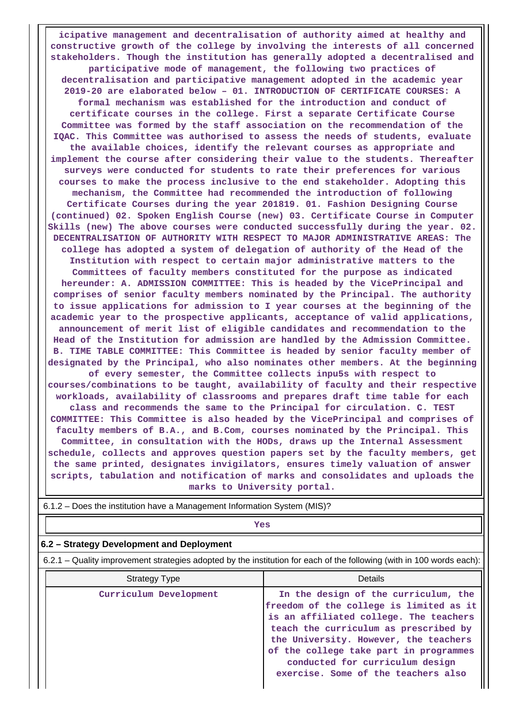**icipative management and decentralisation of authority aimed at healthy and constructive growth of the college by involving the interests of all concerned stakeholders. Though the institution has generally adopted a decentralised and participative mode of management, the following two practices of decentralisation and participative management adopted in the academic year 2019-20 are elaborated below – 01. INTRODUCTION OF CERTIFICATE COURSES: A formal mechanism was established for the introduction and conduct of certificate courses in the college. First a separate Certificate Course Committee was formed by the staff association on the recommendation of the IQAC. This Committee was authorised to assess the needs of students, evaluate the available choices, identify the relevant courses as appropriate and implement the course after considering their value to the students. Thereafter surveys were conducted for students to rate their preferences for various courses to make the process inclusive to the end stakeholder. Adopting this mechanism, the Committee had recommended the introduction of following Certificate Courses during the year 201819. 01. Fashion Designing Course (continued) 02. Spoken English Course (new) 03. Certificate Course in Computer Skills (new) The above courses were conducted successfully during the year. 02. DECENTRALISATION OF AUTHORITY WITH RESPECT TO MAJOR ADMINISTRATIVE AREAS: The college has adopted a system of delegation of authority of the Head of the Institution with respect to certain major administrative matters to the Committees of faculty members constituted for the purpose as indicated hereunder: A. ADMISSION COMMITTEE: This is headed by the VicePrincipal and comprises of senior faculty members nominated by the Principal. The authority to issue applications for admission to I year courses at the beginning of the academic year to the prospective applicants, acceptance of valid applications, announcement of merit list of eligible candidates and recommendation to the Head of the Institution for admission are handled by the Admission Committee. B. TIME TABLE COMMITTEE: This Committee is headed by senior faculty member of designated by the Principal, who also nominates other members. At the beginning of every semester, the Committee collects inpu5s with respect to courses/combinations to be taught, availability of faculty and their respective workloads, availability of classrooms and prepares draft time table for each class and recommends the same to the Principal for circulation. C. TEST COMMITTEE: This Committee is also headed by the VicePrincipal and comprises of faculty members of B.A., and B.Com, courses nominated by the Principal. This Committee, in consultation with the HODs, draws up the Internal Assessment schedule, collects and approves question papers set by the faculty members, get the same printed, designates invigilators, ensures timely valuation of answer scripts, tabulation and notification of marks and consolidates and uploads the marks to University portal.**

| $0.1.2 - \text{DOS}$ are institution nave a management imonitation system (ivita)?                                    |                                                                                                                                                                                                                                                                                                                                 |  |  |  |  |
|-----------------------------------------------------------------------------------------------------------------------|---------------------------------------------------------------------------------------------------------------------------------------------------------------------------------------------------------------------------------------------------------------------------------------------------------------------------------|--|--|--|--|
| Yes                                                                                                                   |                                                                                                                                                                                                                                                                                                                                 |  |  |  |  |
| 6.2 – Strategy Development and Deployment                                                                             |                                                                                                                                                                                                                                                                                                                                 |  |  |  |  |
| 6.2.1 – Quality improvement strategies adopted by the institution for each of the following (with in 100 words each): |                                                                                                                                                                                                                                                                                                                                 |  |  |  |  |
| <b>Strategy Type</b>                                                                                                  | Details                                                                                                                                                                                                                                                                                                                         |  |  |  |  |
| Curriculum Development                                                                                                | In the design of the curriculum, the<br>freedom of the college is limited as it<br>is an affiliated college. The teachers<br>teach the curriculum as prescribed by<br>the University. However, the teachers<br>of the college take part in programmes<br>conducted for curriculum design<br>exercise. Some of the teachers also |  |  |  |  |

6.1.2 – Does the institution have a Management Information System (MIS)?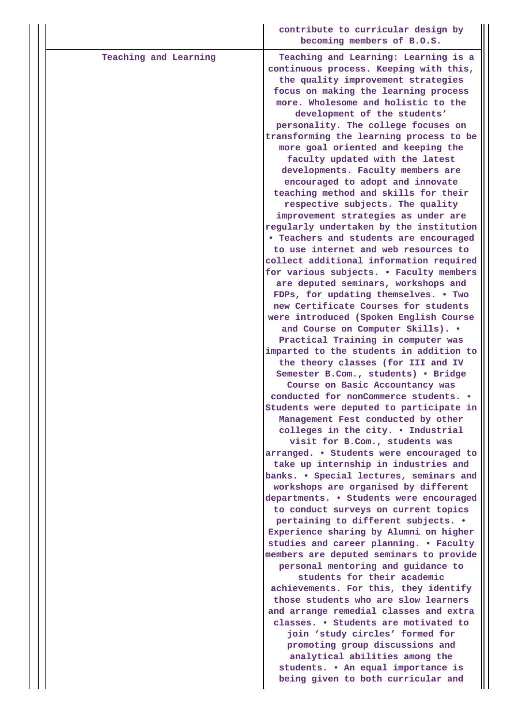|                       | contribute to curricular design by<br>becoming members of B.O.S.                                                                                                                                                                                                                                                                                                                                                                                                                                                                                                                                                                                                                                                                                                                                                                                                                                                                                                                                                                                                                                                                                                                                                                                                                                                                                                                                                                                                                                          |
|-----------------------|-----------------------------------------------------------------------------------------------------------------------------------------------------------------------------------------------------------------------------------------------------------------------------------------------------------------------------------------------------------------------------------------------------------------------------------------------------------------------------------------------------------------------------------------------------------------------------------------------------------------------------------------------------------------------------------------------------------------------------------------------------------------------------------------------------------------------------------------------------------------------------------------------------------------------------------------------------------------------------------------------------------------------------------------------------------------------------------------------------------------------------------------------------------------------------------------------------------------------------------------------------------------------------------------------------------------------------------------------------------------------------------------------------------------------------------------------------------------------------------------------------------|
| Teaching and Learning | Teaching and Learning: Learning is a<br>continuous process. Keeping with this,<br>the quality improvement strategies<br>focus on making the learning process<br>more. Wholesome and holistic to the<br>development of the students'<br>personality. The college focuses on<br>transforming the learning process to be<br>more goal oriented and keeping the<br>faculty updated with the latest<br>developments. Faculty members are<br>encouraged to adopt and innovate<br>teaching method and skills for their<br>respective subjects. The quality<br>improvement strategies as under are<br>regularly undertaken by the institution<br>• Teachers and students are encouraged<br>to use internet and web resources to<br>collect additional information required<br>for various subjects. . Faculty members<br>are deputed seminars, workshops and<br>FDPs, for updating themselves. • Two<br>new Certificate Courses for students<br>were introduced (Spoken English Course<br>and Course on Computer Skills). .<br>Practical Training in computer was<br>imparted to the students in addition to<br>the theory classes (for III and IV<br>Semester B.Com., students) . Bridge<br>Course on Basic Accountancy was<br>conducted for nonCommerce students. .<br>Students were deputed to participate in<br>Management Fest conducted by other<br>colleges in the city. . Industrial<br>visit for B.Com., students was<br>arranged. . Students were encouraged to<br>take up internship in industries and |
|                       | banks. . Special lectures, seminars and<br>workshops are organised by different<br>departments. . Students were encouraged<br>to conduct surveys on current topics<br>pertaining to different subjects. .<br>Experience sharing by Alumni on higher<br>studies and career planning. . Faculty<br>members are deputed seminars to provide<br>personal mentoring and guidance to<br>students for their academic<br>achievements. For this, they identify<br>those students who are slow learners<br>and arrange remedial classes and extra<br>classes. • Students are motivated to<br>join 'study circles' formed for<br>promoting group discussions and<br>analytical abilities among the<br>students. . An equal importance is<br>being given to both curricular and                                                                                                                                                                                                                                                                                                                                                                                                                                                                                                                                                                                                                                                                                                                                      |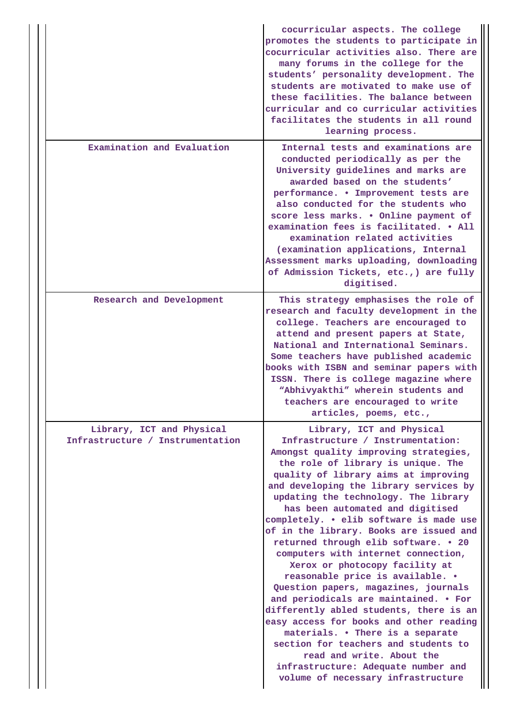|                                                               | cocurricular aspects. The college<br>promotes the students to participate in<br>cocurricular activities also. There are<br>many forums in the college for the<br>students' personality development. The<br>students are motivated to make use of<br>these facilities. The balance between<br>curricular and co curricular activities<br>facilitates the students in all round<br>learning process.                                                                                                                                                                                                                                                                                                                                                                                                                                                                                                                  |
|---------------------------------------------------------------|---------------------------------------------------------------------------------------------------------------------------------------------------------------------------------------------------------------------------------------------------------------------------------------------------------------------------------------------------------------------------------------------------------------------------------------------------------------------------------------------------------------------------------------------------------------------------------------------------------------------------------------------------------------------------------------------------------------------------------------------------------------------------------------------------------------------------------------------------------------------------------------------------------------------|
| Examination and Evaluation                                    | Internal tests and examinations are<br>conducted periodically as per the<br>University guidelines and marks are<br>awarded based on the students'<br>performance. . Improvement tests are<br>also conducted for the students who<br>score less marks. . Online payment of<br>examination fees is facilitated. . All<br>examination related activities<br>(examination applications, Internal<br>Assessment marks uploading, downloading<br>of Admission Tickets, etc., ) are fully<br>digitised.                                                                                                                                                                                                                                                                                                                                                                                                                    |
| Research and Development                                      | This strategy emphasises the role of<br>research and faculty development in the<br>college. Teachers are encouraged to<br>attend and present papers at State,<br>National and International Seminars.<br>Some teachers have published academic<br>books with ISBN and seminar papers with<br>ISSN. There is college magazine where<br>"Abhivyakthi" wherein students and<br>teachers are encouraged to write<br>articles, poems, etc.,                                                                                                                                                                                                                                                                                                                                                                                                                                                                              |
| Library, ICT and Physical<br>Infrastructure / Instrumentation | Library, ICT and Physical<br>Infrastructure / Instrumentation:<br>Amongst quality improving strategies,<br>the role of library is unique. The<br>quality of library aims at improving<br>and developing the library services by<br>updating the technology. The library<br>has been automated and digitised<br>completely. . elib software is made use<br>of in the library. Books are issued and<br>returned through elib software. . 20<br>computers with internet connection,<br>Xerox or photocopy facility at<br>reasonable price is available. .<br>Question papers, magazines, journals<br>and periodicals are maintained. • For<br>differently abled students, there is an<br>easy access for books and other reading<br>materials. . There is a separate<br>section for teachers and students to<br>read and write. About the<br>infrastructure: Adequate number and<br>volume of necessary infrastructure |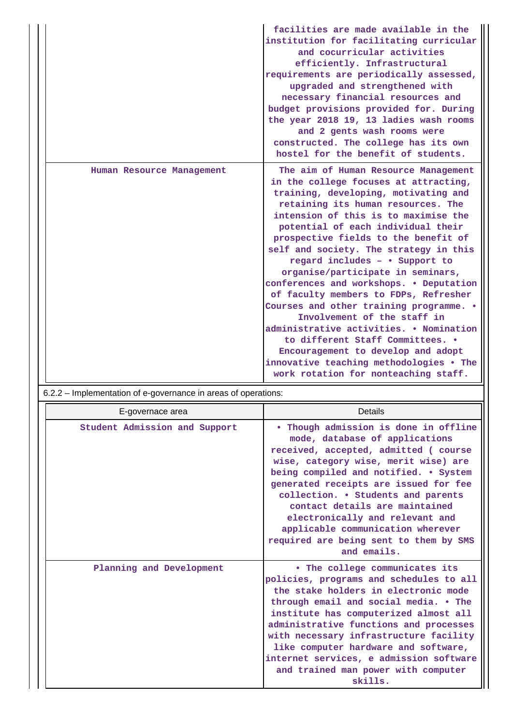|                           | facilities are made available in the<br>institution for facilitating curricular<br>and cocurricular activities<br>efficiently. Infrastructural<br>requirements are periodically assessed,<br>upgraded and strengthened with<br>necessary financial resources and<br>budget provisions provided for. During<br>the year 2018 19, 13 ladies wash rooms<br>and 2 gents wash rooms were<br>constructed. The college has its own<br>hostel for the benefit of students.                                                                                                                                                                                                                                                                                                       |
|---------------------------|--------------------------------------------------------------------------------------------------------------------------------------------------------------------------------------------------------------------------------------------------------------------------------------------------------------------------------------------------------------------------------------------------------------------------------------------------------------------------------------------------------------------------------------------------------------------------------------------------------------------------------------------------------------------------------------------------------------------------------------------------------------------------|
| Human Resource Management | The aim of Human Resource Management<br>in the college focuses at attracting,<br>training, developing, motivating and<br>retaining its human resources. The<br>intension of this is to maximise the<br>potential of each individual their<br>prospective fields to the benefit of<br>self and society. The strategy in this<br>regard includes - . Support to<br>organise/participate in seminars,<br>conferences and workshops. . Deputation<br>of faculty members to FDPs, Refresher<br>Courses and other training programme. .<br>Involvement of the staff in<br>administrative activities. . Nomination<br>to different Staff Committees. .<br>Encouragement to develop and adopt<br>innovative teaching methodologies . The<br>work rotation for nonteaching staff. |

# 6.2.2 – Implementation of e-governance in areas of operations:

| E-governace area              | Details                                                                                                                                                                                                                                                                                                                                                                                                                                                       |
|-------------------------------|---------------------------------------------------------------------------------------------------------------------------------------------------------------------------------------------------------------------------------------------------------------------------------------------------------------------------------------------------------------------------------------------------------------------------------------------------------------|
| Student Admission and Support | Though admission is done in offline<br>$\bullet$<br>mode, database of applications<br>received, accepted, admitted (course<br>wise, category wise, merit wise) are<br>being compiled and notified. . System<br>generated receipts are issued for fee<br>collection. . Students and parents<br>contact details are maintained<br>electronically and relevant and<br>applicable communication wherever<br>required are being sent to them by SMS<br>and emails. |
| Planning and Development      | . The college communicates its<br>policies, programs and schedules to all<br>the stake holders in electronic mode<br>through email and social media. • The<br>institute has computerized almost all<br>administrative functions and processes<br>with necessary infrastructure facility<br>like computer hardware and software,<br>internet services, e admission software<br>and trained man power with computer<br>skills.                                  |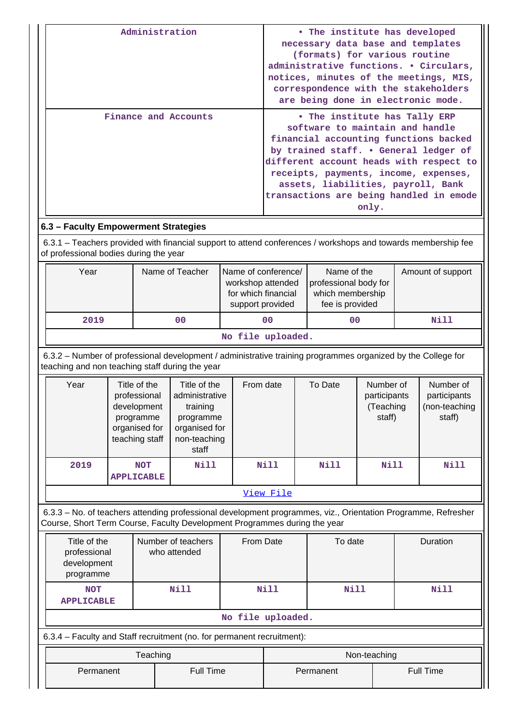| Administration                       | • The institute has developed<br>necessary data base and templates<br>(formats) for various routine<br>administrative functions. • Circulars,<br>notices, minutes of the meetings, MIS,<br>correspondence with the stakeholders<br>are being done in electronic mode.                                                            |
|--------------------------------------|----------------------------------------------------------------------------------------------------------------------------------------------------------------------------------------------------------------------------------------------------------------------------------------------------------------------------------|
| Finance and Accounts                 | • The institute has Tally ERP<br>software to maintain and handle<br>financial accounting functions backed<br>by trained staff. . General ledger of<br>different account heads with respect to<br>receipts, payments, income, expenses,<br>assets, liabilities, payroll, Bank<br>transactions are being handled in emode<br>only. |
| 6.3 – Faculty Empowerment Strategies |                                                                                                                                                                                                                                                                                                                                  |

 6.3.1 – Teachers provided with financial support to attend conferences / workshops and towards membership fee of professional bodies during the year

| Year             | Name of Teacher | Name of conference/<br>workshop attended<br>for which financial<br>support provided | Name of the<br>professional body for<br>which membership<br>fee is provided | Amount of support |  |  |  |  |
|------------------|-----------------|-------------------------------------------------------------------------------------|-----------------------------------------------------------------------------|-------------------|--|--|--|--|
| 2019             | 00              | 0 <sub>0</sub>                                                                      | 00                                                                          | Nill              |  |  |  |  |
| $M_2$ file $M_2$ |                 |                                                                                     |                                                                             |                   |  |  |  |  |

**No file uploaded.**

 6.3.2 – Number of professional development / administrative training programmes organized by the College for teaching and non teaching staff during the year

| Year | Title of the<br>professional<br>development<br>programme<br>organised for<br>teaching staff | Title of the<br>administrative<br>training<br>programme<br>organised for<br>non-teaching<br>staff | From date | To Date     | Number of<br>participants<br>(Teaching<br>staff) | Number of<br>participants<br>(non-teaching<br>staff) |
|------|---------------------------------------------------------------------------------------------|---------------------------------------------------------------------------------------------------|-----------|-------------|--------------------------------------------------|------------------------------------------------------|
| 2019 | <b>NOT</b><br><b>APPLICABLE</b>                                                             | Nill                                                                                              | Nill      | <b>Nill</b> | <b>Nill</b>                                      | Nill                                                 |
|      |                                                                                             |                                                                                                   | View File |             |                                                  |                                                      |

 6.3.3 – No. of teachers attending professional development programmes, viz., Orientation Programme, Refresher Course, Short Term Course, Faculty Development Programmes during the year

| Title of the<br>professional<br>development<br>programme | Number of teachers<br>who attended | From Date    | To date | Duration |  |  |
|----------------------------------------------------------|------------------------------------|--------------|---------|----------|--|--|
| <b>NOT</b><br><b>APPLICABLE</b>                          | Nill                               | Nill<br>Nill |         | Nill     |  |  |
| No file uploaded.                                        |                                    |              |         |          |  |  |

6.3.4 – Faculty and Staff recruitment (no. for permanent recruitment):

|                        | <b>Feaching</b> |           | Non-teaching |
|------------------------|-----------------|-----------|--------------|
| Full Time<br>Permanent |                 | Permanent | Full Time    |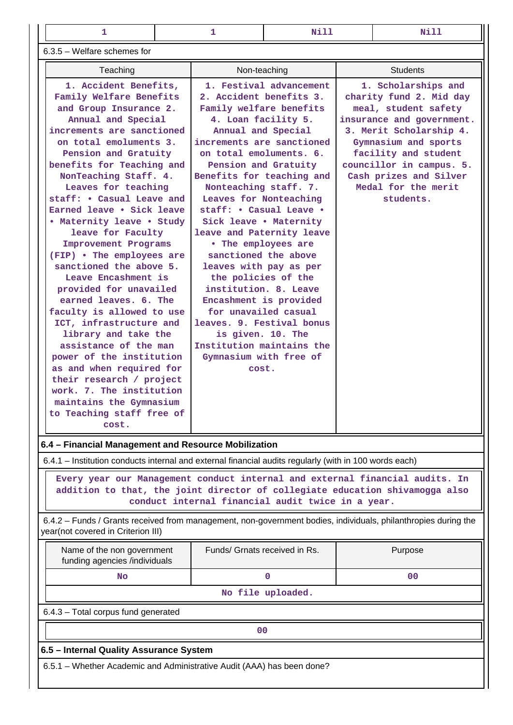| 1                                                                                                                                                                                                                                                                                                                                                                                                                                                                                                                                                                                                                                                                                                                                                                                                                            |  |                                                                                                                                                                                                                                                                                                                                                                                                                                                                                                                                                                                                                                                | 1<br>Nill               |                 | Nill                                                                                                                                                                                                                                                                     |  |
|------------------------------------------------------------------------------------------------------------------------------------------------------------------------------------------------------------------------------------------------------------------------------------------------------------------------------------------------------------------------------------------------------------------------------------------------------------------------------------------------------------------------------------------------------------------------------------------------------------------------------------------------------------------------------------------------------------------------------------------------------------------------------------------------------------------------------|--|------------------------------------------------------------------------------------------------------------------------------------------------------------------------------------------------------------------------------------------------------------------------------------------------------------------------------------------------------------------------------------------------------------------------------------------------------------------------------------------------------------------------------------------------------------------------------------------------------------------------------------------------|-------------------------|-----------------|--------------------------------------------------------------------------------------------------------------------------------------------------------------------------------------------------------------------------------------------------------------------------|--|
| 6.3.5 - Welfare schemes for                                                                                                                                                                                                                                                                                                                                                                                                                                                                                                                                                                                                                                                                                                                                                                                                  |  |                                                                                                                                                                                                                                                                                                                                                                                                                                                                                                                                                                                                                                                |                         |                 |                                                                                                                                                                                                                                                                          |  |
| Teaching                                                                                                                                                                                                                                                                                                                                                                                                                                                                                                                                                                                                                                                                                                                                                                                                                     |  | Non-teaching                                                                                                                                                                                                                                                                                                                                                                                                                                                                                                                                                                                                                                   |                         | <b>Students</b> |                                                                                                                                                                                                                                                                          |  |
| 1. Accident Benefits,<br>Family Welfare Benefits<br>and Group Insurance 2.<br>Annual and Special<br>increments are sanctioned<br>on total emoluments 3.<br>Pension and Gratuity<br>benefits for Teaching and<br>NonTeaching Staff. 4.<br>Leaves for teaching<br>staff: • Casual Leave and<br>Earned leave • Sick leave<br>• Maternity leave • Study<br>leave for Faculty<br>Improvement Programs<br>(FIP) • The employees are<br>sanctioned the above 5.<br>Leave Encashment is<br>provided for unavailed<br>earned leaves. 6. The<br>faculty is allowed to use<br>ICT, infrastructure and<br>library and take the<br>assistance of the man<br>power of the institution<br>as and when required for<br>their research / project<br>work. 7. The institution<br>maintains the Gymnasium<br>to Teaching staff free of<br>cost. |  | 2. Accident benefits 3.<br>Family welfare benefits<br>4. Loan facility 5.<br>Annual and Special<br>increments are sanctioned<br>on total emoluments. 6.<br>Pension and Gratuity<br>Benefits for teaching and<br>Nonteaching staff. 7.<br>Leaves for Nonteaching<br>staff: . Casual Leave .<br>Sick leave . Maternity<br>leave and Paternity leave<br>• The employees are<br>sanctioned the above<br>leaves with pay as per<br>the policies of the<br>institution. 8. Leave<br>Encashment is provided<br>for unavailed casual<br>leaves. 9. Festival bonus<br>is given. 10. The<br>Institution maintains the<br>Gymnasium with free of<br>cost. | 1. Festival advancement |                 | 1. Scholarships and<br>charity fund 2. Mid day<br>meal, student safety<br>insurance and government.<br>3. Merit Scholarship 4.<br>Gymnasium and sports<br>facility and student<br>councillor in campus. 5.<br>Cash prizes and Silver<br>Medal for the merit<br>students. |  |
| 6.4 - Financial Management and Resource Mobilization<br>6.4.1 - Institution conducts internal and external financial audits regularly (with in 100 words each)                                                                                                                                                                                                                                                                                                                                                                                                                                                                                                                                                                                                                                                               |  |                                                                                                                                                                                                                                                                                                                                                                                                                                                                                                                                                                                                                                                |                         |                 |                                                                                                                                                                                                                                                                          |  |

**Every year our Management conduct internal and external financial audits. In**

**addition to that, the joint director of collegiate education shivamogga also conduct internal financial audit twice in a year.**

 6.4.2 – Funds / Grants received from management, non-government bodies, individuals, philanthropies during the year(not covered in Criterion III)

| Name of the non government<br>funding agencies /individuals | Funds/ Grnats received in Rs. | Purpose |  |  |  |  |  |
|-------------------------------------------------------------|-------------------------------|---------|--|--|--|--|--|
| No.                                                         |                               | 00      |  |  |  |  |  |
| No file uploaded.                                           |                               |         |  |  |  |  |  |
| 6.4.3 - Total corpus fund generated                         |                               |         |  |  |  |  |  |

**00**

## **6.5 – Internal Quality Assurance System**

6.5.1 – Whether Academic and Administrative Audit (AAA) has been done?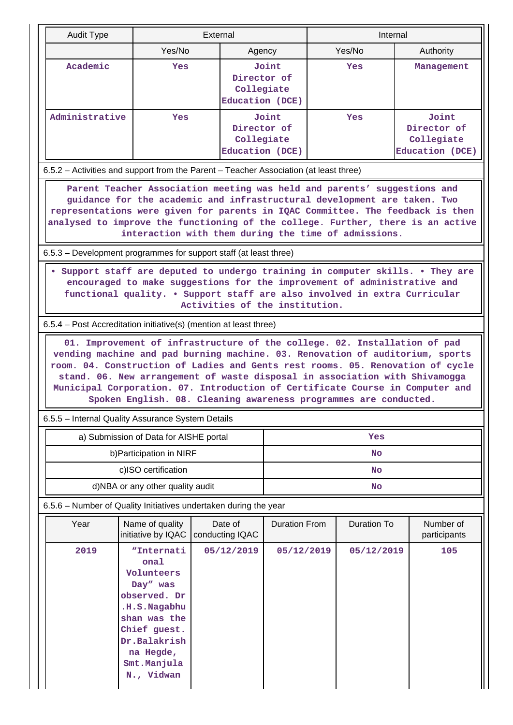| Audit Type                                                                                                                                                                                                                                                                                                                                                                           |                                                                                                                                                                                                              | External |                                              | Internal             |  |                    |  |                                                       |
|--------------------------------------------------------------------------------------------------------------------------------------------------------------------------------------------------------------------------------------------------------------------------------------------------------------------------------------------------------------------------------------|--------------------------------------------------------------------------------------------------------------------------------------------------------------------------------------------------------------|----------|----------------------------------------------|----------------------|--|--------------------|--|-------------------------------------------------------|
|                                                                                                                                                                                                                                                                                                                                                                                      | Yes/No                                                                                                                                                                                                       |          | Agency                                       |                      |  | Yes/No             |  | Authority                                             |
| Academic                                                                                                                                                                                                                                                                                                                                                                             | Yes                                                                                                                                                                                                          |          | Director of<br>Collegiate<br>Education (DCE) | Joint                |  | Yes                |  | Management                                            |
| Administrative                                                                                                                                                                                                                                                                                                                                                                       | <b>Yes</b>                                                                                                                                                                                                   |          | Director of<br>Collegiate<br>Education (DCE) | Joint                |  | <b>Yes</b>         |  | Joint<br>Director of<br>Collegiate<br>Education (DCE) |
| 6.5.2 – Activities and support from the Parent – Teacher Association (at least three)                                                                                                                                                                                                                                                                                                |                                                                                                                                                                                                              |          |                                              |                      |  |                    |  |                                                       |
| representations were given for parents in IQAC Committee. The feedback is then<br>analysed to improve the functioning of the college. Further, there is an active                                                                                                                                                                                                                    | Parent Teacher Association meeting was held and parents' suggestions and<br>guidance for the academic and infrastructural development are taken. Two<br>interaction with them during the time of admissions. |          |                                              |                      |  |                    |  |                                                       |
| 6.5.3 – Development programmes for support staff (at least three)                                                                                                                                                                                                                                                                                                                    |                                                                                                                                                                                                              |          |                                              |                      |  |                    |  |                                                       |
| Support staff are deputed to undergo training in computer skills. . They are<br>encouraged to make suggestions for the improvement of administrative and<br>functional quality. • Support staff are also involved in extra Curricular<br>Activities of the institution.                                                                                                              |                                                                                                                                                                                                              |          |                                              |                      |  |                    |  |                                                       |
| 6.5.4 – Post Accreditation initiative(s) (mention at least three)                                                                                                                                                                                                                                                                                                                    |                                                                                                                                                                                                              |          |                                              |                      |  |                    |  |                                                       |
| vending machine and pad burning machine. 03. Renovation of auditorium, sports<br>room. 04. Construction of Ladies and Gents rest rooms. 05. Renovation of cycle<br>stand. 06. New arrangement of waste disposal in association with Shivamogga<br>Municipal Corporation. 07. Introduction of Certificate Course in Computer and<br>6.5.5 - Internal Quality Assurance System Details | 01. Improvement of infrastructure of the college. 02. Installation of pad<br>Spoken English. 08. Cleaning awareness programmes are conducted.                                                                |          |                                              |                      |  |                    |  |                                                       |
|                                                                                                                                                                                                                                                                                                                                                                                      | a) Submission of Data for AISHE portal                                                                                                                                                                       |          |                                              |                      |  | Yes                |  |                                                       |
|                                                                                                                                                                                                                                                                                                                                                                                      | b) Participation in NIRF                                                                                                                                                                                     |          |                                              | <b>No</b>            |  |                    |  |                                                       |
|                                                                                                                                                                                                                                                                                                                                                                                      | c)ISO certification                                                                                                                                                                                          |          |                                              | No                   |  |                    |  |                                                       |
|                                                                                                                                                                                                                                                                                                                                                                                      | d)NBA or any other quality audit                                                                                                                                                                             |          |                                              | <b>No</b>            |  |                    |  |                                                       |
| 6.5.6 - Number of Quality Initiatives undertaken during the year                                                                                                                                                                                                                                                                                                                     |                                                                                                                                                                                                              |          |                                              |                      |  |                    |  |                                                       |
| Year                                                                                                                                                                                                                                                                                                                                                                                 | Name of quality<br>initiative by IQAC                                                                                                                                                                        |          | Date of<br>conducting IQAC                   | <b>Duration From</b> |  | <b>Duration To</b> |  | Number of<br>participants                             |
| 2019                                                                                                                                                                                                                                                                                                                                                                                 | "Internati<br>onal<br>Volunteers<br>Day" was<br>observed. Dr<br>.H.S.Nagabhu<br>shan was the<br>Chief guest.<br>Dr.Balakrish<br>na Hegde,<br>Smt.Manjula<br>N., Vidwan                                       |          | 05/12/2019                                   | 05/12/2019           |  | 05/12/2019         |  | 105                                                   |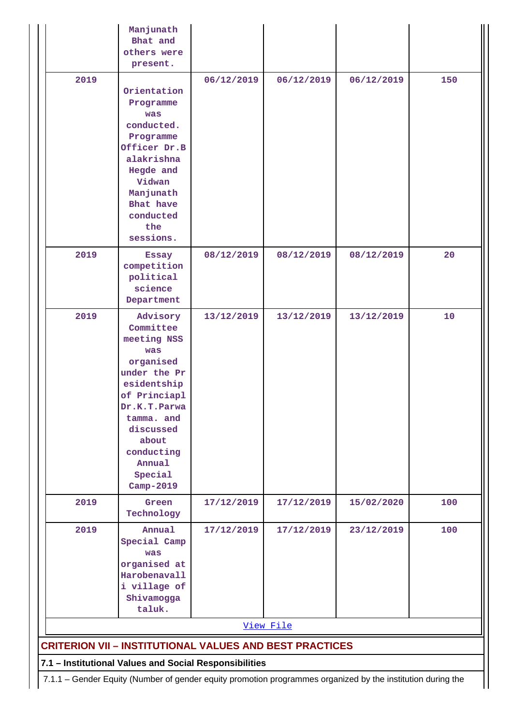|                                                                | Manjunath<br>Bhat and<br>others were<br>present.                                                                                                                                                            |            |            |            |     |  |  |  |  |
|----------------------------------------------------------------|-------------------------------------------------------------------------------------------------------------------------------------------------------------------------------------------------------------|------------|------------|------------|-----|--|--|--|--|
| 2019                                                           | Orientation<br>Programme<br>was<br>conducted.<br>Programme<br>Officer Dr.B<br>alakrishna<br>Hegde and<br>Vidwan<br>Manjunath<br>Bhat have<br>conducted<br>the<br>sessions.                                  | 06/12/2019 | 06/12/2019 | 06/12/2019 | 150 |  |  |  |  |
| 2019                                                           | <b>Essay</b><br>competition<br>political<br>science<br>Department                                                                                                                                           | 08/12/2019 | 08/12/2019 | 08/12/2019 | 20  |  |  |  |  |
| 2019                                                           | Advisory<br>Committee<br>meeting NSS<br>was<br>organised<br>under the Pr<br>esidentship<br>of Princiapl<br>Dr.K.T.Parwa<br>tamma. and<br>discussed<br>about<br>conducting<br>Annual<br>Special<br>Camp-2019 | 13/12/2019 | 13/12/2019 | 13/12/2019 | 10  |  |  |  |  |
| 2019                                                           | Green<br>Technology                                                                                                                                                                                         | 17/12/2019 | 17/12/2019 | 15/02/2020 | 100 |  |  |  |  |
| 2019                                                           | Annual<br>Special Camp<br>was<br>organised at<br>Harobenavall<br>i village of<br>Shivamogga<br>taluk.                                                                                                       | 17/12/2019 | 17/12/2019 | 23/12/2019 | 100 |  |  |  |  |
|                                                                |                                                                                                                                                                                                             |            | View File  |            |     |  |  |  |  |
| <b>CRITERION VII - INSTITUTIONAL VALUES AND BEST PRACTICES</b> |                                                                                                                                                                                                             |            |            |            |     |  |  |  |  |
|                                                                | 7.1 - Institutional Values and Social Responsibilities                                                                                                                                                      |            |            |            |     |  |  |  |  |

7.1.1 – Gender Equity (Number of gender equity promotion programmes organized by the institution during the

 $\mathop{\text{||}}$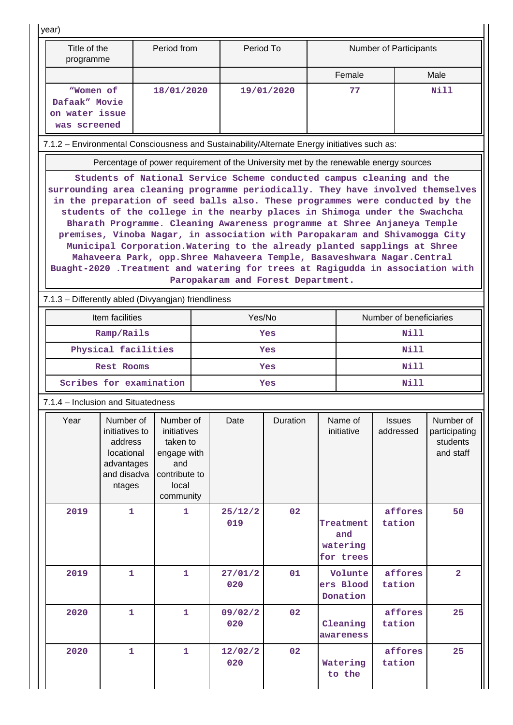year)

| Title of the<br>programme                                    | Period from | Period To  | <b>Number of Participants</b> |      |
|--------------------------------------------------------------|-------------|------------|-------------------------------|------|
|                                                              |             |            | Female                        | Male |
| "Women of<br>Dafaak" Movie<br>on water issue<br>was screened | 18/01/2020  | 19/01/2020 | 77                            | Nill |

7.1.2 – Environmental Consciousness and Sustainability/Alternate Energy initiatives such as:

Percentage of power requirement of the University met by the renewable energy sources

**Students of National Service Scheme conducted campus cleaning and the surrounding area cleaning programme periodically. They have involved themselves in the preparation of seed balls also. These programmes were conducted by the students of the college in the nearby places in Shimoga under the Swachcha Bharath Programme. Cleaning Awareness programme at Shree Anjaneya Temple premises, Vinoba Nagar, in association with Paropakaram and Shivamogga City Municipal Corporation.Watering to the already planted sapplings at Shree Mahaveera Park, opp.Shree Mahaveera Temple, Basaveshwara Nagar.Central Buaght-2020 .Treatment and watering for trees at Ragigudda in association with Paropakaram and Forest Department.**

7.1.3 – Differently abled (Divyangjan) friendliness

| Item facilities         | Yes/No | Number of beneficiaries |
|-------------------------|--------|-------------------------|
| Ramp/Rails              | Yes    | Nill                    |
| Physical facilities     | Yes    | Nill                    |
| <b>Rest Rooms</b>       | Yes    | Nill                    |
| Scribes for examination | Yes    | Nill                    |

7.1.4 – Inclusion and Situatedness

| Year | Number of<br>initiatives to<br>address<br>locational<br>advantages<br>and disadva<br>ntages | Number of<br>initiatives<br>taken to<br>engage with<br>and<br>contribute to<br>local<br>community | Date           | Duration | Name of<br>initiative                     | <b>Issues</b><br>addressed | Number of<br>participating<br>students<br>and staff |
|------|---------------------------------------------------------------------------------------------|---------------------------------------------------------------------------------------------------|----------------|----------|-------------------------------------------|----------------------------|-----------------------------------------------------|
| 2019 | 1                                                                                           | 1                                                                                                 | 25/12/2<br>019 | 02       | Treatment<br>and<br>watering<br>for trees | affores<br>tation          | 50                                                  |
| 2019 | $\mathbf{1}$                                                                                | $\mathbf{1}$                                                                                      | 27/01/2<br>020 | 01       | Volunte<br>ers Blood<br>Donation          | affores<br>tation          | $\overline{2}$                                      |
| 2020 | $\mathbf 1$                                                                                 | 1                                                                                                 | 09/02/2<br>020 | 02       | Cleaning<br>awareness                     | affores<br>tation          | 25                                                  |
| 2020 | 1                                                                                           | $\mathbf{1}$                                                                                      | 12/02/2<br>020 | 02       | Watering<br>to the                        | affores<br>tation          | 25                                                  |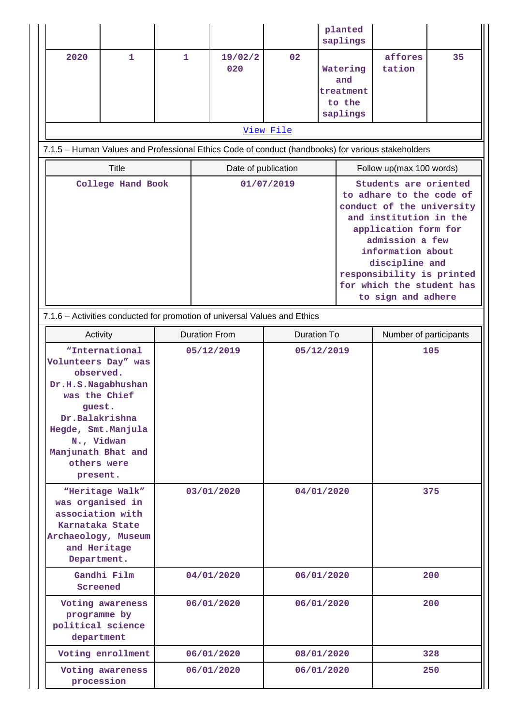|                   |                                                                                                                                                                                                                           |              |                      |                |                    | planted<br>saplings                                |                                                                                                                                                                                                                                                                            |    |  |
|-------------------|---------------------------------------------------------------------------------------------------------------------------------------------------------------------------------------------------------------------------|--------------|----------------------|----------------|--------------------|----------------------------------------------------|----------------------------------------------------------------------------------------------------------------------------------------------------------------------------------------------------------------------------------------------------------------------------|----|--|
| 2020              | $\mathbf{1}$                                                                                                                                                                                                              | $\mathbf{1}$ |                      | 19/02/2<br>020 | 02                 | Watering<br>and<br>treatment<br>to the<br>saplings | affores<br>tation                                                                                                                                                                                                                                                          | 35 |  |
|                   |                                                                                                                                                                                                                           |              |                      |                |                    |                                                    |                                                                                                                                                                                                                                                                            |    |  |
|                   | View File                                                                                                                                                                                                                 |              |                      |                |                    |                                                    |                                                                                                                                                                                                                                                                            |    |  |
|                   | 7.1.5 - Human Values and Professional Ethics Code of conduct (handbooks) for various stakeholders                                                                                                                         |              |                      |                |                    |                                                    |                                                                                                                                                                                                                                                                            |    |  |
|                   | <b>Title</b>                                                                                                                                                                                                              |              | Date of publication  |                |                    |                                                    | Follow up(max 100 words)                                                                                                                                                                                                                                                   |    |  |
| College Hand Book |                                                                                                                                                                                                                           |              | 01/07/2019           |                |                    |                                                    | Students are oriented<br>to adhare to the code of<br>conduct of the university<br>and institution in the<br>application form for<br>admission a few<br>information about<br>discipline and<br>responsibility is printed<br>for which the student has<br>to sign and adhere |    |  |
|                   | 7.1.6 - Activities conducted for promotion of universal Values and Ethics                                                                                                                                                 |              |                      |                |                    |                                                    |                                                                                                                                                                                                                                                                            |    |  |
|                   | Activity                                                                                                                                                                                                                  |              | <b>Duration From</b> |                | <b>Duration To</b> |                                                    | Number of participants                                                                                                                                                                                                                                                     |    |  |
|                   | "International<br>05/12/2019<br>Volunteers Day" was<br>observed.<br>Dr.H.S.Nagabhushan<br>was the Chief<br>quest.<br>Dr.Balakrishna<br>Hegde, Smt. Manjula<br>N., Vidwan<br>Manjunath Bhat and<br>others were<br>present. |              |                      | 05/12/2019     |                    | 105                                                |                                                                                                                                                                                                                                                                            |    |  |
|                   | "Heritage Walk"<br>03/01/2020<br>was organised in<br>association with<br>Karnataka State<br>Archaeology, Museum<br>and Heritage<br>Department.                                                                            |              |                      |                | 04/01/2020         |                                                    | 375                                                                                                                                                                                                                                                                        |    |  |
| Screened          | Gandhi Film                                                                                                                                                                                                               | 04/01/2020   |                      | 06/01/2020     |                    | 200                                                |                                                                                                                                                                                                                                                                            |    |  |
|                   | Voting awareness<br>06/01/2020<br>programme by<br>political science<br>department                                                                                                                                         |              | 06/01/2020           |                | 200                |                                                    |                                                                                                                                                                                                                                                                            |    |  |
|                   | Voting enrollment                                                                                                                                                                                                         |              |                      | 06/01/2020     |                    | 08/01/2020                                         | 328                                                                                                                                                                                                                                                                        |    |  |
|                   | Voting awareness<br>06/01/2020<br>procession                                                                                                                                                                              |              |                      |                | 06/01/2020         |                                                    | 250                                                                                                                                                                                                                                                                        |    |  |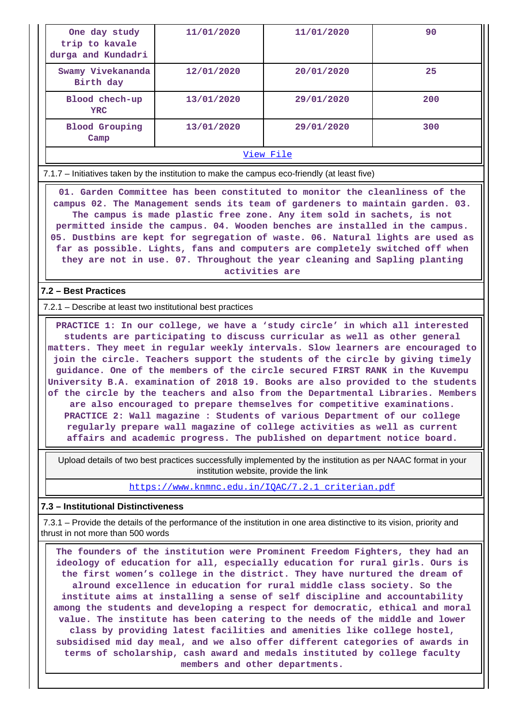| One day study<br>trip to kavale<br>durga and Kundadri | 11/01/2020 | 11/01/2020 | 90  |  |  |  |
|-------------------------------------------------------|------------|------------|-----|--|--|--|
| Swamy Vivekananda<br>Birth day                        | 12/01/2020 | 20/01/2020 | 25  |  |  |  |
| Blood chech-up<br><b>YRC</b>                          | 13/01/2020 | 29/01/2020 | 200 |  |  |  |
| <b>Blood Grouping</b><br>Camp                         | 13/01/2020 | 29/01/2020 | 300 |  |  |  |
| View File                                             |            |            |     |  |  |  |

7.1.7 – Initiatives taken by the institution to make the campus eco-friendly (at least five)

 **01. Garden Committee has been constituted to monitor the cleanliness of the campus 02. The Management sends its team of gardeners to maintain garden. 03. The campus is made plastic free zone. Any item sold in sachets, is not permitted inside the campus. 04. Wooden benches are installed in the campus. 05. Dustbins are kept for segregation of waste. 06. Natural lights are used as far as possible. Lights, fans and computers are completely switched off when they are not in use. 07. Throughout the year cleaning and Sapling planting activities are**

### **7.2 – Best Practices**

7.2.1 – Describe at least two institutional best practices

 **PRACTICE 1: In our college, we have a 'study circle' in which all interested students are participating to discuss curricular as well as other general matters. They meet in regular weekly intervals. Slow learners are encouraged to join the circle. Teachers support the students of the circle by giving timely guidance. One of the members of the circle secured FIRST RANK in the Kuvempu University B.A. examination of 2018 19. Books are also provided to the students of the circle by the teachers and also from the Departmental Libraries. Members are also encouraged to prepare themselves for competitive examinations. PRACTICE 2: Wall magazine : Students of various Department of our college regularly prepare wall magazine of college activities as well as current affairs and academic progress. The published on department notice board.**

 Upload details of two best practices successfully implemented by the institution as per NAAC format in your institution website, provide the link

[https://www.knmnc.edu.in/IQAC/7.2.1\\_criterian.pdf](https://www.knmnc.edu.in/IQAC/7.2.1_criterian.pdf)

#### **7.3 – Institutional Distinctiveness**

 7.3.1 – Provide the details of the performance of the institution in one area distinctive to its vision, priority and thrust in not more than 500 words

 **The founders of the institution were Prominent Freedom Fighters, they had an ideology of education for all, especially education for rural girls. Ours is the first women's college in the district. They have nurtured the dream of alround excellence in education for rural middle class society. So the institute aims at installing a sense of self discipline and accountability among the students and developing a respect for democratic, ethical and moral value. The institute has been catering to the needs of the middle and lower class by providing latest facilities and amenities like college hostel, subsidised mid day meal, and we also offer different categories of awards in terms of scholarship, cash award and medals instituted by college faculty members and other departments.**